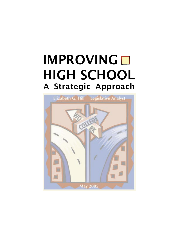# IMPROVING HIGH SCHOOL A Strategic Approach

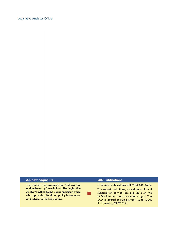Legislative Analyst's Office

#### **Acknowledgments**

This report was prepared by Paul Warren, and reviewed by Steve Boilard. The Legislative Analyst's Office (LAO) is a nonpartisan office which provides fiscal and policy information and advice to the Legislature.

#### **LAO Publications**

■

To request publications call (916) 445-4656.

This report and others, as well as an E-mail subscription service, are available on the LAO's Internet site at www.lao.ca.gov. The LAO is located at 925 L Street, Suite 1000, Sacramento, CA 95814.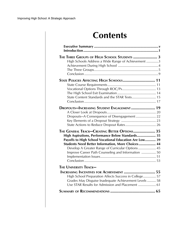# **Contents**

| THE THREE GROUPS OF HIGH SCHOOL STUDENTS  3<br>High Schools Address a Wide Range of Achievement 3                                                                                                                                                                                                                                 |  |
|-----------------------------------------------------------------------------------------------------------------------------------------------------------------------------------------------------------------------------------------------------------------------------------------------------------------------------------|--|
| STATE POLICIES AFFECTING HIGH SCHOOLS 11                                                                                                                                                                                                                                                                                          |  |
| <b>DROPOUTS-INCREASING STUDENT ENGAGEMENT  19</b>                                                                                                                                                                                                                                                                                 |  |
| The General Track—Creating Better Options 35<br>High Aspirations, Performance Below Standards 35<br>Payoffs to High School Vocational Education Are Low 39<br><b>Students Need Better Information, More Choices 44</b><br>Develop A Greater Range of Curricular Options  45<br>Improve Career Path Counseling and Information  50 |  |
| THE UNIVERSITY TRACK-                                                                                                                                                                                                                                                                                                             |  |
| INCREASING INCENTIVES FOR ACHIEVEMENT  55<br>High School Preparation Affects Success in College 57<br>Grades May Disguise Inadequate Achievement Levels  58<br>Use STAR Results for Admission and Placement  61                                                                                                                   |  |
|                                                                                                                                                                                                                                                                                                                                   |  |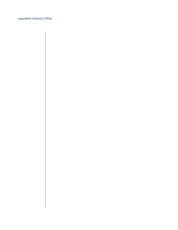Legislative Analyst's Office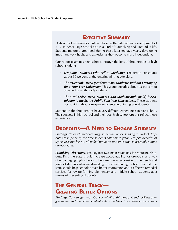## **EXECUTIVE SUMMARY**

<span id="page-4-0"></span>High school represents a critical phase in the educational development of K-12 students. High school also is a kind of "launching pad" into adult life. Students mature a great deal during these later teenage years, developing important work habits and attitudes as they become more independent.

Our report examines high schools through the lens of three groups of high school students:

- *Dropouts (Students Who Fail to Graduate).* This group constitutes about 30 percent of the entering ninth grade class.
- *The "General" Track (Students Who Graduate Without Qualifying for a Four-Year University).* This group includes about 45 percent of all entering ninth grade students.
- *The "University" Track (Students Who Graduate and Qualify for Admission to the State's Public Four-Year Universities).* These students account for about one-quarter of entering ninth grade students.

Students in the three groups have very different experiences in high school. Their success in high school and their post-high school options reflect those experiences.

### **DROPOUTS—A NEED TO ENGAGE STUDENTS**

*Findings. Research and data suggest that the factors leading to student dropouts are in place by the time students enter ninth grade. Despite decades of trying, research has not identified programs or services that consistently reduce dropout rates.*

*Promising Directions.* We suggest two main strategies for reducing dropouts. First, the state should increase accountability for dropouts as a way of encouraging high schools to become more responsive to the needs and goals of students who are struggling to succeed in high school. Second, the state should help schools obtain better information about effective remedial services for low-performing elementary and middle school students as a means of preventing dropouts.

## **THE GENERAL TRACK— CREATING BETTER OPTIONS**

*Findings. Data suggest that about one-half of this group attends college after graduation and the other one-half enters the labor force. Research and data*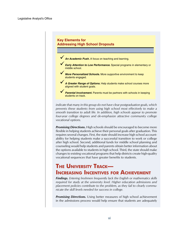#### **Key Elements for Addressing High School Dropouts**

- *An Academic Push.* A focus on teaching and learning.
	- *Early Attention to Low Performance.* Special programs in elementary or middle school.
- **More Personalized Schools.** More supportive environment to keep students engaged.
- �*A Greater Range of Options.* Help students make school courses more aligned with student goals.
- *Parental Involvement.* Parents must be partners with schools in keeping students on track.

*indicate that many in this group do not have clear postgraduation goals, which prevents these students from using high school most effectively to make a smooth transition to adult life. In addition, high schools appear to promote four-year college degrees and de-emphasize attractive community college vocational options.*

*Promising Directions***.** High schools should be encouraged to become more flexible in helping students achieve their personal goals after graduation. This requires several changes. First, the state should increase high school accountability for helping students make a successful transition to work or college after high school. Second, additional funds for middle school planning and counseling would help students and parents obtain better information about the options available to students in high school. Third, the state should make changes to existing vocational programs that help districts create high-quality vocational sequences that have greater benefits to students.

### **THE UNIVERSITY TRACK— INCREASING INCENTIVES FOR ACHIEVEMENT**

*Findings. Entering freshmen frequently lack the English or mathematics skills required for study at the university level. Higher education admissions and placement policies contribute to the problem, as they fail to clearly communicate the skill levels needed for success in college.* 

*Promising Directions.* Using better measures of high school achievement in the admissions process would help ensure that students are adequately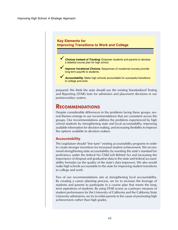#### **Key Elements for Improving Transitions to Work and College**

- �*Choices Instead of Tracking.* Empower students and parents to develop a detailed course plan for high school.
- **Improve Vocational Choices.** Sequences of vocational courses provide long-term payoffs to students.
- �*Accountability.* Make high schools accountable for successful transitions to college and work.

prepared. We think the state should use the existing Standardized Testing and Reporting (STAR) tests for admission and placement decisions in our postsecondary system.

#### **RECOMMENDATIONS**

Despite considerable differences in the problems facing these groups, several themes emerge in our recommendations that are consistent across the groups. Our recommendations address the problems experienced by high school students by strengthening state and local accountability, improving available information for decision making, and increasing flexibility to improve the options available to decision makers.

#### **Accountability**

The Legislature should "fine tune" existing accountability programs in order to create stronger incentives for increased student achievement. We recommend strengthening state accountability by resetting the state's standard for proficiency under the federal No Child Left Behind Act and increasing the importance of dropout and graduation data in the state and federal accountability formulas (as the quality of the state's data improves). We also would make high schools accountable to the state for improving student transitions to college and work.

Two of our recommendations aim at strengthening *local* accountability. By creating a career planning process, we try to increase the leverage of students and parents to participate in a course plan that meets the longterm aspirations of students. By using STAR scores as a primary measure of student performance for the University of California and the California State University admissions, we try to enlist parents in the cause of promoting high achievement—rather than high grades.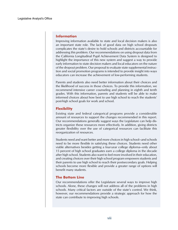#### **Information**

Improving information available to state and local decision makers is also an important state role. The lack of good data on high school dropouts complicates the state's desire to hold schools and districts accountable for addressing this problem. Our recommendations on using dropout data from the California Longitudinal Pupil Achievement Data System is designed to highlight the importance of this new system and suggest a way to provide early information to state decision makers and local educators on the nature of the dropout problem. Our proposal to evaluate state supplemental instruction and social promotion programs is intended to provide insight into ways educators can increase the achievement of low-performing students.

Parents and students also need better information about their choices and the likelihood of success in those choices. To provide this information, we recommend intensive career counseling and planning in eighth and tenth grades. With this information, parents and students will be able to make informed choices about how best to use high school to reach the students' post-high school goals for work and school.

#### **Flexibility**

Existing state and federal categorical programs provide a considerable amount of resources to support the changes recommended in this report. Our recommendations generally suggest ways the Legislature can help districts organize these resources more effectively. In addition, giving districts greater flexibility over the use of categorical resources can facilitate this reorganization of resources.

Students need and want better and more choices in high school—and schools need to be more flexible in satisfying these choices. Students need other viable alternatives besides getting a four-year college diploma—only about 15 percent of high school graduates earn a college diploma in the decade after high school. Students also want to feel more involved in their education, and creating choices over their high school program empowers students and their parents to use high school to reach their postsecondary goals. Helping schools become more flexible and provide a greater range of options will benefit many students.

#### **The Bottom Line**

Our recommendations offer the Legislature several ways to improve high schools. Alone, these changes will not address all of the problems in high schools. Many critical factors are outside of the state's control. We think, however, our recommendations provide a strategic approach for how the state can contribute to improving high schools.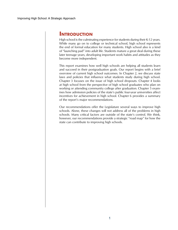### <span id="page-8-0"></span>**INTRODUCTION**

High school is the culminating experience for students during their K-12 years. While many go on to college or technical school, high school represents the end of formal education for many students. High school also is a kind of "launching pad" into adult life. Students mature a great deal during these later teenage years, developing important work habits and attitudes as they become more independent.

This report examines how well high schools are helping all students learn and succeed in their postgraduation goals. Our report begins with a brief overview of current high school outcomes. In Chapter 2, we discuss state laws and policies that influence what students study during high school. Chapter 3 focuses on the issue of high school dropouts. Chapter 4 looks at high school from the perspective of high school graduates who plan on working or attending community college after graduation. Chapter 5 examines how admission policies of the state's public four-year universities affect incentives for achievement in high school. Chapter 6 provides a summary of the report's major recommendations.

Our recommendations offer the Legislature several ways to improve high schools. Alone, these changes will not address all of the problems in high schools. Many critical factors are outside of the state's control. We think, however, our recommendations provide a strategic "road map" for how the state can contribute to improving high schools.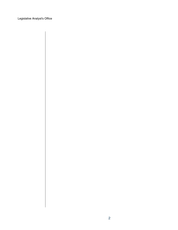Legislative Analyst's Office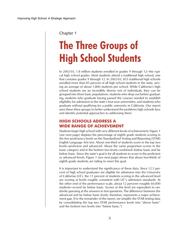#### <span id="page-10-0"></span>Chapter 1

# **The Three Groups of High School Students**

In 2002-03, 1.8 million students enrolled in grades 9 through 12—the typical high school grades. Most students attend a traditional high school, one that contains grades 9 through 12. In 2002-03, 855 traditional high schools enrolled more than 85 percent of all high school students in the state, serving an average of about 1,800 students per school. While California's high school students are an incredibly diverse mix of individuals, they can be grouped into three basic populations: students who drop out before graduating, students who graduate having passed the courses needed to establish eligibility for admission to the state's four-year universities, and students who graduate without qualifying for a public university in California. Our report uses these three groups to better understand the problems high schools face and identify potential approaches to addressing them.

#### **HIGH SCHOOLS ADDRESS A WIDE RANGE OF ACHIEVEMENT**

Students begin high school with very different levels of achievement. Figure 1 (see next page) displays the percentage of eighth grade students scoring in the five proficiency levels on the Standardized Testing and Reporting (STAR) English Language Arts test. About one-third of students score in the top two levels—proficient and advanced. About the same proportion scores in the basic category and in the bottom two levels combined—below basic and far below basic. Since the state's goal is for all students to score in the proficient or advanced levels, Figure 1 (see next page) shows that about two-thirds of eighth grade students are failing to meet this goal.

It is important to understand the significance of these data. Since 12.5 percent of high school graduates are eligible for admission into the University of California (UC), the 11 percent of students scoring in the advanced level are scoring at levels roughly consistent with UC's admission standards. At the other end of the performance scale, about 12 percent—roughly 60,000 students—scored far below basic. Scores at this level are equivalent to randomly guessing at the answers to test questions. The difference between the advanced and far below basic levels, therefore, represents a major achievement gap. (For the remainder of the report, we simplify the STAR testing data by consolidating the top two STAR performance levels into "above basic" and the bottom two levels into "below basic.")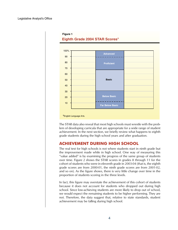<span id="page-11-0"></span>

The STAR data also reveal that most high schools must wrestle with the problem of developing curricula that are appropriate for a wide range of student achievement. In the next section, we briefly review what happens to eighth grade students during the high school years and after graduation.

#### **ACHIEVEMENT DURING HIGH SCHOOL**

The real test for high schools is not where students start in ninth grade but the improvement made while in high school. One way of measuring this "value added" is by examining the progress of the same group of students over time. Figure 2 shows the STAR scores in grades 8 through 11 for the cohort of students who were in eleventh grade in 2003-04 (that is, the eighth grade scores are from 2000-01, the ninth grade scores are from 2001-02, and so on). As the figure shows, there is very little change over time in the proportion of students scoring in the three levels.

In fact, this figure may overstate the achievement of this cohort of students because it does not account for students who dropped out during high school. Since low-achieving students are more likely to drop out of school, we would expect the remaining students to be higher performing. They are not. Therefore, the data suggest that, relative to state standards, student achievement may be falling during high school.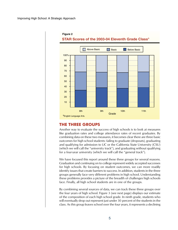<span id="page-12-0"></span>

#### **THE THREE GROUPS**

Another way to evaluate the success of high schools is to look at measures like graduation rates and college attendance rates of recent graduates. By combining data on these two measures, it becomes clear there are three basic outcomes for high school students: failing to graduate (dropouts), graduating and qualifying for admission to UC or the California State University (CSU) (which we will call the "university track"), and graduating without qualifying for a four-year university (which we will call the "general track").

We have focused this report around these three groups for several reasons. Graduation and continuing on to college represent widely accepted successes for high schools. By focusing on student outcomes, we can more readily identify issues that create barriers to success. In addition, students in the three groups generally face very different problems in high school. Understanding these problems provides a picture of the breadth of challenges high schools face. Finally, all high school students are in one of the groups.

By combining several sources of data, we can track these three groups over the four years of high school. Figure 3 (see next page) displays our estimate of the composition of each high school grade. In ninth grade, students who will eventually drop out represent just under 30 percent of the students in the class. As this group leaves school over the four years, it represents a declining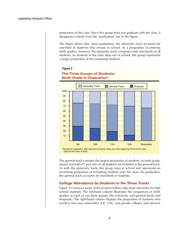proportion of the class. Since this group does not graduate with the class, it disappears entirely from the "graduation" bar in the figure.

The figure shows that, upon graduation, the university track accounts for one-third of students who remain in school. As a proportion of entering ninth graders, however, the university track comprises only one-fourth of all students. As students in the class drop out of school, this group represents a larger proportion of the remaining students.

#### **Figure 3**





aExcept for graduation, data represent students' status as of the beginning of the school year. Data for the Class of 2003.

The general track contains the largest proportion of students. In ninth grade, almost one-half—47 percent—of all students are included in the general track. As with the university track, this group stays in school and represents an increasing proportion of remaining students over the years. By graduation, the general track accounts for two-thirds of students.

#### **College Attendance by Students in the Three Tracks**

Figure 4 conveys a sense of the postsecondary education outcomes for high school students. The left-hand column illustrates the proportion of ninth graders in each of our three groups (the university and general tracks and dropouts). The right-hand column displays the proportion of students who enroll in four-year universities (UC, CSU, and private colleges and universi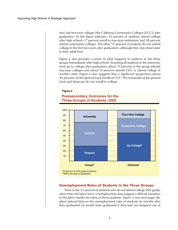ties) and two-year colleges (the California Community Colleges [CCC]) after graduation. As the figure indicates, 45 percent of students attend college after high school—17 percent enroll in four-year institutions and 28 percent attend community colleges. The other 55 percent of students do not attend college in the first two years after graduation—although they may return later in their adult lives.

Figure 4 also provides a sense of what happens to students in the three groups immediately after high school. Assuming all students in the university track go to college after graduation, about 70 percent of this group attends four-year colleges and about 30 percent attends CCC or attend college in another state. Figure 4 also suggests that a significant proportion—about 40 percent—of the general track enrolls in CCC. The remainder of the general track and dropouts do not enroll in college.

#### **Figure 4**

#### **Postsecondary Outcomes for the Three Groups of Students, 2003**



#### **Unemployment Rates of Students in the Three Groups**

Most of the 55 percent of students who do not attend college after graduation enter the labor force. Unemployment data suggest a difficult transition to the labor market for many of these students. Figure 5 (see next page) displays national data on the unemployment rates of students six months after they graduated (or would have graduated if they had not dropped out of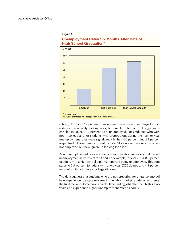

school). A total of 19 percent of recent graduates were unemployed, which is defined as actively seeking work, but unable to find a job. For graduates enrolled in college, 12 percent were unemployed. For graduates who were not in college and for students who dropped out during their senior year, unemployment rates were significantly higher—26 percent and 31 percent respectively. These figures do not include "discouraged workers," who are not employed but have given up looking for a job.

Adult unemployment rates also decline as education increases. California's unemployment rates reflect this trend. For example, in April 2004, 8.3 percent of adults with a high school diploma reported being unemployed. This compares to 5.3 percent for adults with a two-year CCC degree and 4.3 percent for adults with a four-year college diploma.

The data suggest that students who are not preparing for entrance into college experience greater problems in the labor market. Students who enter the full-time labor force have a harder time finding jobs after their high school years and experience higher unemployment rates as adults.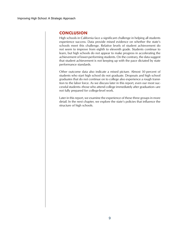#### <span id="page-16-0"></span>**CONCLUSION**

High schools in California face a significant challenge in helping all students experience success. Data provide mixed evidence on whether the state's schools meet this challenge. Relative levels of student achievement do not seem to improve from eighth to eleventh grade. Students continue to learn, but high schools do not appear to make progress in accelerating the achievement of lower-performing students. On the contrary, the data suggest that student achievement is not keeping up with the pace dictated by state performance standards.

Other outcome data also indicate a mixed picture. Almost 30 percent of students who start high school do not graduate. Dropouts and high school graduates that do not continue on to college also experience a rough transition to the labor force. As we discuss later in this report, even our most successful students—those who attend college immediately after graduation—are not fully prepared for college-level work.

Later in this report, we examine the experience of these three groups in more detail. In the next chapter, we explore the state's policies that influence the structure of high schools.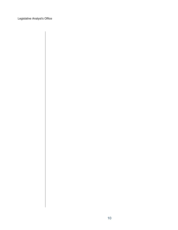Legislative Analyst's Office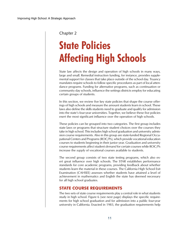#### <span id="page-18-0"></span>Chapter 2

# **State Policies Affecting High Schools**

State law affects the design and operation of high schools in many ways, large and small. Remedial instruction funding, for instance, provides supplemental support for classes that take place outside of the school day. Truancy mandates require schools to follow specific procedures as part of local attendance programs. Funding for alternative programs, such as continuation or community day schools, influence the settings districts employ for educating certain groups of students.

In this section, we review five key state policies that shape the course offerings of high schools and measure the amount students learn in school. These laws also define the skills students need to graduate and qualify for admission into the state's four-year universities. Together, we believe these five policies exert the most significant influence over the operation of high schools.

These policies can be grouped into two categories. The first group includes state laws or programs that structure student choices over the courses they take in high school. This includes high school graduation and university admission course requirements. Also in this group are state-funded Regional Occupational Centers and Programs (ROC/Ps), which provide vocational education courses to students beginning in their junior year. Graduation and university course requirements affect student *demand* for certain courses while ROC/Ps increase the *supply* of vocational courses available to students.

The second group consists of two state testing programs, which also exert great influence over high schools. The STAR establishes performance standards for core academic programs, providing feedback about whether students learn the material in these courses. The California High School Exit Examination (CAHSEE) assesses whether students have attained a level of achievement in mathematics and English the state has deemed necessary for all high school graduates.

#### **STATE COURSE REQUIREMENTS**

The two sets of state course requirements play a central role in what students study in high school. Figure 6 (see next page) displays the specific requirements for high school graduation and for admission into a public four-year university in California. Enacted in 1983, the graduation requirements help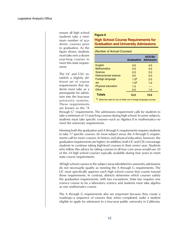ensure all high school students take a minimum number of academic courses prior to graduation. As the figure shows, students must take over a dozen year-long courses to meet this state requirement.

The UC and CSU establish a slightly different set of course requirements that students must take as a prerequisite for admission into the four-year university systems. These requirements are known as the "A

#### **Figure 6**

#### **High School Course Requirements for Graduation and University Admissions**

(Number of Annual Courses)

|                                                                        | <b>Graduation Admission</b> | UC/CSU |
|------------------------------------------------------------------------|-----------------------------|--------|
| <b>English</b>                                                         | 3.0                         | 4.0    |
| <b>Mathematics</b>                                                     | 2.0                         | 3.0    |
| Science                                                                | 2.0                         | 2.0    |
| History/social science                                                 | 3.0                         | 2.0    |
| Foreign language                                                       | 1.0 <sup>a</sup>            | 2.0    |
| Art                                                                    | 1.0 <sup>a</sup>            | 1.0    |
| <b>Physical education</b>                                              | 1.0                         |        |
| Other                                                                  | 0.5                         | 1.0    |
| <b>Totals</b>                                                          | 12.5                        | 15.0   |
| а<br>State law calls for one of either art or foreign language courses |                             |        |

a State law calls for one of either art or foreign language courses.

through G" requirements. The admissions requirement calls for students to take a minimum of 15 year-long courses during high school. In some subjects, students must take specific courses—such as Algebra II in mathematics—to meet the university requirements.

Meeting both the graduation and A through G requirements requires students to take 17 specific courses. (In most subject areas, the A through G requirements call for more courses. In history and physical education, however, the graduation requirements are higher.) In addition, both UC and CSU encourage students to continue taking high-level courses in their senior year. Students who follow this advice by taking courses in all four core areas would use 20 of the 24 high school courses typically available during four years to meet state course requirements.

All high school courses in the subject areas identified for university admissions do not necessarily qualify as meeting the A through G requirements. The UC must specifically approve each high school course that counts toward these requirements. In contrast, districts determine which courses satisfy the graduation requirements, with two exceptions. State law requires one science course to be a laboratory science and students must take algebra as one mathematics course.

The A through G requirements also are important because they create a roadmap—a sequence of courses that, when completed, make a student eligible to apply for admission to a four-year public university in California.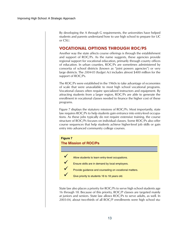<span id="page-20-0"></span>By developing the A through G requirements, the universities have helped students and parents understand how to use high school to prepare for UC or CSU.

#### **VOCATIONAL OPTIONS THROUGH ROC/PS**

Another way the state affects course offerings is through the establishment and support of ROC/Ps. As the name suggests, these agencies provide regional support for vocational education, primarily through county offices of education. In urban counties, ROC/Ps are sometimes administered by consortia of school districts (known as "joint powers agencies") or very large districts. The *2004-05 Budget Act* includes almost \$400 million for the support of ROC/Ps.

The ROC/Ps were established in the 1960s to take advantage of economies of scale that were unavailable to most high school vocational programs. Vocational classes often require specialized instructors and equipment. By attracting students from a larger region, ROC/Ps are able to generate the enrollment in vocational classes needed to finance the higher cost of these programs.

Figure 7 displays the statutory missions of ROC/Ps. Most importantly, state law requires ROC/Ps to help students gain entrance into entry-level occupations. As these jobs typically do not require extensive training, the course structure of ROC/Ps focuses on individual classes. Some ROC/Ps also offer course sequences that help students achieve higher-level job skills or gain entry into advanced community college courses.

#### **Figure 7**

#### **The Mission of ROC/Ps**

- $\checkmark$  Allow students to learn entry-level occupations.
- **V** Ensure skills are in demand by local employers.
- **V** Provide guidance and counseling on vocational matters.
	- Give priority to students 16 to 18 years old.

State law also places a priority for ROC/Ps to serve high school students age 16 through 18. Because of this priority, ROC/P classes are targeted mainly at juniors and seniors. State law allows ROC/Ps to serve adults, as well. In 2003-04, about two-thirds of all ROC/P enrollments were high school stu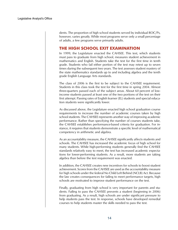<span id="page-21-0"></span>dents. The proportion of high school students served by individual ROC/Ps, however, varies greatly. While most programs serve only a small percentage of adults, a few programs serve primarily adults.

#### **THE HIGH SCHOOL EXIT EXAMINATION**

In 1999, the Legislature enacted the CAHSEE. This test, which students must pass to graduate from high school, measures student achievement in mathematics and English. Students take the test for the first time in tenth grade. Students who fail either portion of the test may retest up to seven times during the subsequent two years. The test assesses student mastery of the state mathematics standards up to and including algebra and the tenth grade English Language Arts standards.

The class of 2006 is the first to be subject to the CAHSEE requirement. Students in this class took the test for the first time in spring 2004. Almost three-quarters passed each of the subject areas. About 60 percent of lowincome students passed at least one of the two portions of the test on their first attempt. Passing rates of English learner (EL) students and special education students were significantly lower.

As discussed above, the Legislature enacted high school graduation course requirements to increase the number of academic courses taken by high school students. The CAHSEE represents another way of improving academic performance. Rather than specifying the number of courses students take, the CAHSEE establishes performance-based criteria for graduation. For instance, it requires that students demonstrate a specific level of mathematical competency in arithmetic and algebra.

As an accountability measure, the CAHSEE significantly affects students and schools. The CAHSEE has increased the academic focus of high school for many students. While high-performing students generally find the CAHSEE standards relatively easy to meet, the test has increased academic expectations for lower-performing students. As a result, more students are taking algebra than before the test requirement was enacted.

In addition, the CAHSEE creates new incentives for schools to boost student achievement. Scores from the CAHSEE are used as the accountability measure for high schools under the federal No Child Left Behind (NCLB) Act. Because the law creates consequences for failing to meet performance targets, high schools are motivated to improve student performance on the test.

Finally, graduating from high school is very important for parents and students. Failing to pass the CAHSEE prevents a student (beginning in 2006) from graduating. As a result, high schools are under significant pressure to help students pass the test. In response, schools have developed remedial courses to help students master the skills needed to pass the test.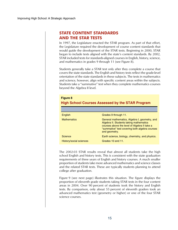#### <span id="page-22-0"></span>**STATE CONTENT STANDARDS AND THE STAR TESTS**

In 1997, the Legislature enacted the STAR program. As part of that effort, the Legislature required the development of course content standards that would guide the development of the STAR tests. Beginning in 2000, STAR began to include tests aligned with the state's content standards. By 2002, STAR included tests for standards-aligned courses in English, history, science, and mathematics in grades 9 through 11 (see Figure 8).

Students generally take a STAR test only after they complete a course that covers the state standards. The English and history tests reflect the grade-level orientation of the state standards in these subjects. The tests in mathematics and science, however, align with specific content areas within the subjects. Students take a "summative" test when they complete mathematics courses beyond the Algebra II level.

#### **Figure 8 High School Courses Assessed by the STAR Program**

| <b>English</b>                 | Grades 9 through 11.                                                                                                                                                                                        |
|--------------------------------|-------------------------------------------------------------------------------------------------------------------------------------------------------------------------------------------------------------|
| <b>Mathematics</b>             | General mathematics, Algebra I, geometry, and<br>Algebra II. Students taking mathematics<br>courses above the level of Algebra II take a<br>"summative" test covering both algebra courses<br>and geometry. |
| <b>Science</b>                 | Earth science, biology, chemistry, and physics.                                                                                                                                                             |
| <b>History/social sciences</b> | Grades 10 and 11.                                                                                                                                                                                           |

The 2002-03 STAR results reveal that almost all students take the high school English and history tests. This is consistent with the state graduation requirements of three years of English and history courses. A much smaller proportion of students take more advanced mathematics and science classes and the related STAR tests. These are typically students planning to attend college after graduation.

Figure 9 (see next page) illustrates this situation. The figure displays the proportion of eleventh grade students taking STAR tests in the four content areas in 2004. Over 90 percent of students took the history and English tests. By comparison, only about 55 percent of eleventh graders took an advanced mathematics test (geometry or higher) or one of the four STAR science courses.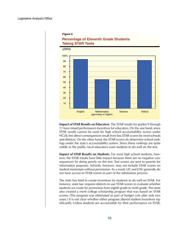

*Impact of STAR Results on Educators*. The STAR results for grades 9 through 11 have mixed performance incentives for educators. On the one hand, since STAR results cannot be used for high school accountability scores under NCLB, few direct consequences result from low STAR scores for most schools and districts. On the other hand, the STAR scores do determine school rankings under the *state's* accountability system. Since these rankings are quite visible to the public, local educators want students to do well on the test.

*Impact of STAR Results on Students.* For most high school students, however, the STAR results have little impact because there are no negative consequences for doing poorly on the test. Test scores are sent to parents for information purposes. Schools, however, may not include STAR scores on student transcripts without permission. As a result, UC and CSU generally do not have access to STAR scores as part of the admissions process.

The state has tried to create incentives for students to do well on STAR. For instance, state law requires districts to use STAR scores to evaluate whether students are ready for promotion from eighth grade to ninth grade. The state also created a merit college scholarship program that was based on STAR scores. (The program was eliminated as part of budget cuts after only two years.) It is not clear whether either program altered student incentives significantly. Unless students are accountable for their performance on STAR,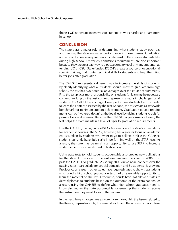<span id="page-24-0"></span>the test will not create incentives for students to work harder and learn more in school.

#### **CONCLUSION**

The state plays a major role in determining what students study each day and the way the state evaluates performance in those classes. Graduation and university course requirements dictate most of the courses students take during high school. University admissions requirements are also important because they create a pathway to a postsecondary goal of many students—attending UC or CSU. State-funded ROC/Ps create a source of occupationalspecific training that confer technical skills to students and help them find better jobs after graduation.

The CAHSEE represents a different way to increase the skills of students. By clearly identifying what all students should know to graduate from high school, the test has two potential advantages over the course requirements. First, the test places more responsibility on students for learning the necessary content. So long as the test content represents a realistic challenge for all students, the CAHSEE encourages lower-performing students to work harder to learn the content assessed by the test. Second, the test creates a statewide benchmark for minimum student achievement. Graduation course requirements can be "watered down" at the local level by giving students credit for passing low-level courses. Because the CAHSEE is performance based, the test helps the state maintain a level of rigor to graduation requirements.

Like the CAHSEE, the high school STAR tests reinforce the state's expectations for academic courses. The STAR, however, has a greater focus on academic courses taken by students who want to go to college. Unlike the CAHSEE, students currently have little stake in performing well on the STAR tests. As a result, the state may be missing an opportunity to use STAR to increase student incentives to work hard in high school.

Using state tests to hold students accountable also creates new obligations for the state. In the case of the exit examination, the class of 2006 must pass the CAHSEE to graduate. As spring 2006 draws near, concern over the passing rates—particularly for special education and EL students—is growing. Previous court cases in other states have required states to show that students who failed a high school graduation test had a reasonable opportunity to learn the material on the test. Otherwise, courts have not allowed states to deny diplomas to students based on the outcome of the examinations. As a result, using the CAHSEE to define what high school graduates need to know also makes the state accountable for ensuring that students receive the instruction they need to learn the material.

In the next three chapters, we explore more thoroughly the issues related to the three groups—dropouts, the general track, and the university track. Using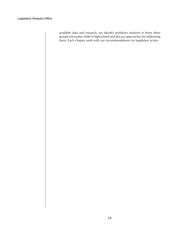available data and research, we identify problems students in these three groups encounter while in high school and discuss approaches for addressing them. Each chapter ends with our recommendations for legislative action.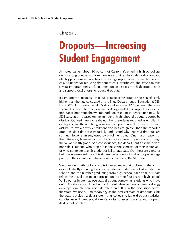#### <span id="page-26-0"></span>Chapter 3

# **Dropouts—Increasing Student Engagement**

As noted earlier, about 30 percent of California's entering high school students fail to graduate. In this section, we examine why students drop out and identify promising approaches to reducing dropout rates. Research offers no easy solutions for reducing dropout rates. Nevertheless, the state can take several important steps to focus attention on districts with high dropout rates and support local efforts to reduce dropouts.

It is important to recognize that our estimate of the dropout rate is significantly higher than the rate calculated by the State Department of Education (SDE). For 2002-03, for instance, SDE's dropout rate was 12.6 percent. There are several differences between our methodology and SDE's dropout rate calculation. Most important, the two methodologies count students differently. The SDE calculation is based on the number of high school dropouts reported by districts. Our estimate tracks the number of students reported as enrolled in each grade and the number graduating each year. Since SDE does not require districts to explain why enrollment declines are greater than the reported dropouts, data do not exist to fully understand why reported dropouts are so much lower than suggested by enrollment data. One major reason for the difference, however, is that SDE's data capture dropouts only through the fall of twelfth grade. As a consequence, the department's estimate does not reflect students who drop out in the spring semester of their senior year or who complete twelfth grade but fail to graduate. Our measure captures both groups—we estimate this difference accounts for about 9 percentage points of the difference between our estimate and the SDE rate.

We think our methodology results in an estimate that is closer to the actual dropout rate. By counting the actual number of students enrolled in California schools and the number graduating from high school each year, our data reflect the actual decline in participation over the four years in high school. While our estimate may overstate dropouts somewhat—students who move out of the state are included in our dropout rate—we think our methodology develops a much more accurate rate than SDE's. In the discussion below, therefore, we use our methodology as the best estimate of dropouts. Until the state develops a data system that collects reliable dropout statistics, data issues will hamper California's ability to assess the size and scope of its dropout problem.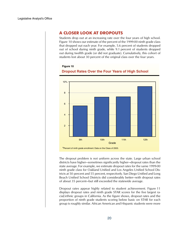#### <span id="page-27-0"></span>**A CLOSER LOOK AT DROPOUTS**

Students drop out at an increasing rate over the four years of high school. Figure 10 shows our estimate of the percent of the 1999-00 ninth grade class that dropped out each year. For example, 5.6 percent of students dropped out of school during ninth grade, while 9.1 percent of students dropped out during twelfth grade (or did not graduate). Cumulatively, this cohort of students lost about 30 percent of the original class over the four years.

**Figure 10**



**Dropout Rates Over the Four Years of High School**

The dropout problem is not uniform across the state. Large urban school districts have higher—sometimes significantly higher—dropout rates than the state average. For example, we estimate dropout rates for the same 1999-00 ninth grade class for Oakland Unified and Los Angeles Unified School Districts at 50 percent and 55 percent, respectively. San Diego Unified and Long Beach Unified School Districts did considerably better—with dropout rates of about 35 percent—but still exceeded the statewide average.

Dropout rates appear highly related to student achievement. Figure 11 displays dropout rates and ninth grade STAR scores for the five largest racial/ethnic groups in California. As the figure shows, dropout rates and the proportion of ninth grade students scoring below basic on STAR for each group is roughly similar. African American and Hispanic students were more

aPercent of ninth grade enrollment. Data on the Class of 2003.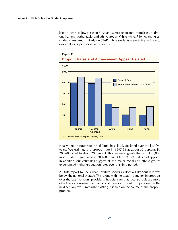likely to score below basic on STAR and were significantly more likely to drop out than most other racial and ethnic groups. While white, Filipino, and Asian students are fared similarly on STAR, white students were twice as likely to drop out as Filipino or Asian students.



Finally, the dropout rate in California has slowly declined over the last five years. We estimate the dropout rate in 1997-98 at about 33 percent. By 2002-03, it fell to about 29 percent. This decline suggests that about 20,000 more students graduated in 2002-03 than if the 1997-98 rates had applied. In addition, our estimates suggest all the major racial and ethnic groups experienced higher graduation rates over this time period.

A 2004 report by the Urban Institute shows California's dropout rate was below the national average. This, along with the steady reduction in dropouts over the last five years, provides a hopeful sign that local schools are more effectively addressing the needs of students at risk of dropping out. In the next section, we summarize existing research on the source of the dropout problem.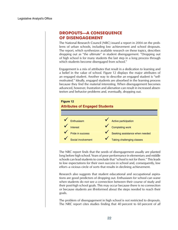#### <span id="page-29-0"></span>**DROPOUTS—A CONSEQUENCE OF DISENGAGEMENT**

The National Research Council (NRC) issued a report in 2004 on the problems of urban schools, including low achievement and school dropouts. The report, which synthesizes available research on these topics, describes dropping out as "the ultimate" in student disengagement. "Dropping out of high school is for many students the last step in a long process through which students become disengaged from school."

Engagement is a mix of attributes that result in a dedication to learning and a belief in the value of school. Figure 12 displays the major attributes of an engaged student. Another way to describe an engaged student is "selfmotivated." Ideally, engaged students are absorbed in the learning process because they find the material interesting. When disengagement becomes advanced, however, frustration and alienation can result in increased absenteeism and behavior problems and, eventually, dropping out.

# **Figure 12 Attributes of Engaged Students**   $\overline{\mathsf{F}}$  Enthusiasm  $\overline{\mathsf{F}}$  Active participation Interest  $\mathbf V$  Completing work Pride in success  $\mathsf{v}$  Seeking assistance when needed Social involvement  $\mathbf{v}$  Taking challenging classes

The NRC report finds that the seeds of disengagement usually are planted long before high school. Years of poor performance in elementary and middle schools can lead students to conclude that "school is not for them." This leads to low expectations for their own success in school and, consequently, low effort—a vicious circle of sorts that results in declining achievement.

Research also suggests that student educational and occupational aspirations are good predictors of dropping out. Enthusiasm for school can wane when students do not see a connection between their course of study and their post-high school goals. This may occur because there is no connection or because students are ill-informed about the steps needed to reach their goals.

The problem of disengagement in high school is not restricted to dropouts. The NRC report cites studies finding that 40 percent to 60 percent of *all*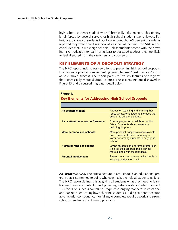<span id="page-30-0"></span>high school students studied were "chronically" disengaged. This finding is reinforced by several surveys of high school students we reviewed. For instance, a survey of students in Colorado found that 65 percent of students reported they were bored in school at least half of the time. The NRC report concludes that, in most high schools, unless students "come with their own intrinsic motivation to learn (or at least to get good grades), they are likely to feel alienated from their teachers and coursework."

#### **KEY ELEMENTS OF A DROPOUT STRATEGY**

The NRC report finds no easy solutions to preventing high school dropouts. Evaluations of programs implementing research-based "best practices" show, at best, mixed success. The report points to five key features of programs that successfully reduced dropout rates. These elements are displayed in Figure 13 and discussed in greater detail below.

#### **Figure 13**

#### **Key Elements for Addressing High School Dropouts**

| An academic push                          | A focus on teaching and learning that<br>"does whatever it takes" to increase the<br>academic skills of students.                |
|-------------------------------------------|----------------------------------------------------------------------------------------------------------------------------------|
| <b>Early attention to low performance</b> | Special programs in middle school for<br>"at-risk" students show promise in<br>reducing dropouts.                                |
| <b>More personalized schools</b>          | More personal, supportive schools create<br>an environment which encourages<br>lower-performing students to engage in<br>school. |
| A greater range of options                | Giving students and parents greater con-<br>trol over their program make school<br>more aligned with student goals.              |
| <b>Parental involvement</b>               | Parents must be partners with schools in<br>keeping students on track.                                                           |
|                                           |                                                                                                                                  |

*An Academic Push.* The critical feature of any school is an educational program that is committed to doing whatever it takes to help all students achieve. The NRC report defines this as giving all students what they need to learn, holding them accountable, and providing extra assistance when needed. This focus on success sometimes requires changing teachers' instructional approaches to educating low-achieving students. Holding students accountable includes consequences for failing to complete required work and strong school attendance and truancy programs.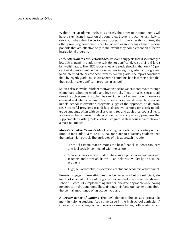Without this academic push, it is unlikely the other four components will have a significant impact on dropout rates. Students become less likely to drop out when they begin to have success in school. In this context, the other promising components can be viewed as supporting elements—components that are effective only to the extent they complement an effective instructional program.

*Early Attention to Low Performance.* Research suggests that disadvantaged low-achieving ninth graders typically do not significantly raise their skill levels by twelfth grade. The NRC report cites one study showing that only 15 percent of students identified as weak readers in eighth grade had progressed to an intermediate or advanced level by twelfth grade. The report concludes that, by eighth grade, most low-achieving students had lost their belief that they could make significant progress in school.

Studies also show that student motivation declines as students move through elementary school to middle and high schools. Thus, it makes sense to address the achievement problem before high school, when students are more engaged and when academic deficits are smaller. Initial research on several middle school intervention programs suggests the approach holds promise. Successful programs established alternative schools for at-risk middle grade students, often with smaller class sizes and additional counseling, to accelerate the progress of at-risk students. By comparison, programs that supplemented existing middle school programs with various services showed almost no impact.

*More Personalized Schools.* Middle and high schools that successfully reduce dropout rates adopt a more personal approach to educating students than the typical high school. The attributes of this approach include:

- A school climate that promotes the belief that all students can learn and feel socially connected with the school.
- Smaller schools, where students have more personal interactions with teachers and other adults who can help resolve family or personal problems.
- High, but achievable, expectations of student academic achievement.

Research suggests these attributes may be necessary, but not sufficient, elements of successful dropout programs. Several studies we reviewed showed schools successfully implementing this personalized approach while having no impact on dropout rates. These findings reinforce our earlier point about the central importance of an academic push.

*A Greater Range of Options.* The NRC identifies choices as a critical element in helping students "see some value in the high school curriculum." Choice involves a range of curricular options—including both academic and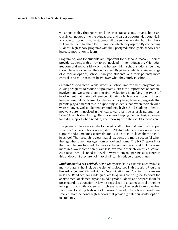vocational paths. The report concludes that "Because few urban schools are closely connected . . . to the educational and career opportunities potentially available to students, many students fail to see how working hard in school will enable them to attain the . . . goals to which they aspire." By connecting students' high school programs with their postgraduation goals, schools can increase motivation to learn.

Program options for students are important for a second reason. Choices provide students with a way to be involved in their education. With adult freedom and responsibility on the horizon, high school students feel they should have a voice over their education. By giving students a greater range of curricular options, schools can give students (and their parents) more control—and more responsibility—over what they study in school.

*Parental Involvement.* While almost all school improvement programs—including programs to reduce dropout rates—stress the importance of parental involvement, we were unable to find evaluations identifying the types of involvement that make a difference with at-risk high school students. Literature on parental involvement at the secondary level, however, suggests that parents play a different role in supporting students than when their children were younger. Unlike elementary students, high school students often do not want parents involved in their day-to-day affairs. As a result, parents must "steer" their children through the challenges, keeping them on task, arranging for extra support when needed, and knowing who their child's friends are.

The parent's role is very similar to the list of attributes that describe the "personalized" school. This is no accident. All students need encouragement, support, and, sometimes, externally imposed discipline to keep them on track in school. The research is clear that all students are more successful when they get the same messages from school and home. The NRC report finds that parental involvement declines as children get older and that, by some measures, low-income parents are less involved in their children's education. As a result, schools need to develop ways to engage parents as partners in this endeavor if they are going to significantly reduce dropout rates.

*Implementation Is a Critical Factor.* Many districts in California already implement programs that include the elements discussed in this section. Programs like Advancement Via Individual Determination and Gaining Early Awareness and Readiness for Undergraduate Programs are designed to boost the achievement of elementary and middle grade students and prepare them for postsecondary education. A few districts also are creating special programs for eighth and ninth graders who achieve at very low levels to improve their skills prior to taking high school courses. Similarly, districts are developing smaller, more personal high schools that provide greater curricular options to students.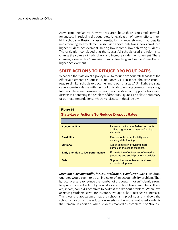<span id="page-33-0"></span>As we cautioned above, however, research shows there is no simple formula for success in reducing dropout rates. An evaluation of reform efforts in ten high schools in Boston, Massachusetts, for instance, showed that, despite implementing the key elements discussed above, only two schools produced higher student achievement among low-income, low-achieving students. The evaluation concluded that the successful schools used the reforms to change the culture of high school and increase student engagement. These changes, along with a "laser-like focus on teaching and learning" resulted in higher achievement.

#### **STATE ACTIONS TO REDUCE DROPOUT RATES**

What can the state do at a policy level to reduce dropout rates? Most of the effective elements are outside state control. For instance, the state cannot require all high schools to become "more personalized." Similarly, the state cannot create a desire within school officials to engage parents in meaningful ways. There are, however, several ways the state can support schools and districts in addressing the problem of dropouts. Figure 14 displays a summary of our recommendations, which we discuss in detail below.

#### **Figure 14**

#### **State-Level Actions To Reduce Dropout Rates**

| <b>Accountability</b>                     | Increase the focus of federal account-<br>ability programs on lower-performing<br>students. |
|-------------------------------------------|---------------------------------------------------------------------------------------------|
| <b>Flexibility</b>                        | Give schools more flexibility over<br>existing state funding.                               |
| <b>Options</b>                            | Assist schools in providing more<br>curricular choices to students.                         |
| <b>Early attention to low performance</b> | Evaluate the effectiveness of remedial<br>programs and social promotion policies.           |
| Data                                      | Support the student-level database<br>under development.                                    |

*Strengthen Accountability for Low Performance and Dropouts.* **High drop**out rates would seem to be an indicator of an accountability problem. That is, local pressure to reduce the number of dropouts is not sufficiently strong to spur concerted action by educators and school board members. There are, in fact, some disincentives to address the dropout problem. When lowachieving students leave, for instance, average school test scores increase. This gives the appearance that the school is improving, and it allows the school to focus on the education needs of the more motivated students that remain. In addition, when students marked as "problems" or "trouble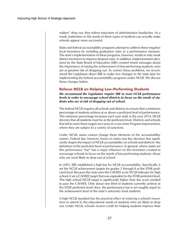makers" drop out, they relieve educators of administrative headaches. As a result, inattention to the needs of these types of students can actually make schools appear more successful.

State and federal accountability programs attempt to address these negative local incentives by including graduation rates as a performance measure. The state's implementation of these programs, however, results in only weak district incentives to improve dropout rates. In addition, implementation decisions by the State Board of Education (SBE) created mixed messages about the importance of raising the achievement of low-performing students, who are at greatest risk of dropping out. To correct these problems, we recommend the Legislature direct SBE to make two changes to the state plan for implementing the federal accountability programs under NCLB. We discuss these changes below.

#### **Refocus NCLB on Helping Low-Performing Students**

*We recommend the Legislature require SBE to reset NCLB performance levels in order to encourage school districts to focus on the needs of students who are at risk of dropping out of school.*

The federal NCLB requires all schools and districts to ensure that a minimum percentage of students achieve at or above a proficient level of performance. This minimum percentage increases each year until, in the year 2014, NCLB decrees that all students must be at the proficient level. Districts and schools that fail to meet these targets two years in a row enter Program Improvement, where they are subject to a variety of sanctions.

Under NCLB, states cannot change these elements of the accountability system. Federal law, however, leaves to states one key decision that significantly shapes the impact of NCLB accountability on schools and districts—the definition of the proficient level of performance. In general, where states set this performance "bar" has a major influence on the incentives created to encourage schools to focus on the needs of low-performing students—those who are most likely to drop out of school.

In 2003, SBE established a high bar for NCLB accountability. Specifically, it set the NCLB achievement targets for grades 2 through 8 at the STAR proficient level. Because the state uses the CAHSEE as its NCLB indicator for high school, it set a CAHSEE target that was equivalent to the STAR proficient level. This high school NCLB target is significantly higher than the score needed to pass the CAHSEE. Only about one third of students currently achieve at the STAR proficient level—thus, the performance bar is set roughly equal to the achievement level of the state's university track students.

A high NCLB standard has the practical effect of *reducing* a school's incentives to attend to the educational needs of students who are likely to drop out. Under NCLB, schools receive credit for helping students improve their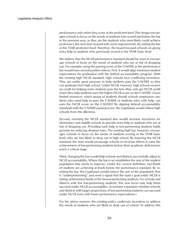performance only when they score at the proficient level. This design encourages schools to focus on the needs of students who scored just below the bar in the previous year, as they are the students who most likely could achieve proficiency the next time around with some improvement. By setting the bar at the STAR proficient level, therefore, the board focused schools on giving extra help to students who previously scored in the STAR basic level.

We believe that the NCLB performance standard should be reset to encourage schools to focus on the needs of students who are at risk of dropping out. For example, using the passing score of the CAHSEE as the performance bar would have several positive effects. First, it would align minimum student expectations for graduation with the federal accountability program. With the existing high NCLB standard, high schools face conflicting incentives. They are under great pressure to help students pass the CAHSEE so they can graduate from high school. Under NCLB, however, high schools receive no credit for helping more students pass the test—they only get NCLB credit when they help students earn the higher NCLB score on the CAHSEE. Given limited resources, which group of students should schools emphasize—students who need help to pass the CAHSEE or students who, with help, can earn the NCLB score on the CAHSEE? By aligning federal accountability standards with the CAHSEE passing score, the Legislature would relieve high schools from this dilemma.

Second, resetting the NCLB standard also would increase incentives for elementary and middle schools to provide extra help to students who are at risk of dropping out. Providing early help to low-performing students holds promise for reducing dropout rates. The existing high bar, however, encourages schools to focus on the needs of students scoring in the STAR basic level, who are less likely to drop out in high school. By lowering the NCLB standard, the state would encourage schools to increase efforts to raise the achievement of low-performing students before their academic deficiencies reach a critical stage.

Third, changing the bar would help schools and districts successfully adjust to NCLB accountability. Where the bar is set establishes the size of the student population that needs to improve. Under the current definition, two-thirds of students are achieving at levels below the performance standard. By resetting the bar, the Legislature would reduce the size of the population that is "underperforming" and send a signal that the state's goal under NCLB is raising achievement levels of the lowest-performing students. For schools and districts with few low-performing students, this new focus may help them succeed under NCLB accountability. (It remains a question whether schools and districts with larger proportions of low-performing students can succeed under NCLB even with lower performance expectations.)

For the above reasons, the existing policy undercuts incentives to address the needs of students who are likely to drop out of school. To address this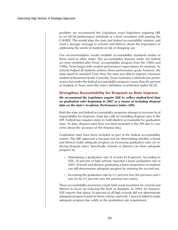problem, we recommend the Legislature enact legislation requiring SBE to set NCLB performance standards at a level consistent with passing the CAHSEE. This would align the state and federal accountability systems, and send a stronger message to schools and districts about the importance of addressing the needs of students at risk of dropping out.

Our recommendation would establish accountability standards similar to those used in other states. The accountability features under the federal act were modeled after Texas' accountability program from the 1980s and 1990s. Texas began with modest performance expectations for students. As schools helped all students achieve these performance goals, however, the state raised its standard. Over time, the state was able to improve minimum student achievement levels. Currently, Texas maintains a relatively low performance bar under the federal accountability program—more than 80 percent of students in Texas meet the state's definition of proficient under NCLB.

#### **Strengthen Accountability for Dropouts as Data Improve**

*We recommend the Legislature require SDE to collect student-level data on graduation rates beginning in 2007 as a means of including dropout data on the state's Academic Performance Index (API).*

Both the state and federal accountability programs attempt to increase local responsibility for dropouts. State law calls for including dropout rates in the API. Federal law requires states to hold districts accountable for graduation rates. To date, dropout rates have not been included in the API due to concerns about the accuracy of the dropout data.

Graduation rates have been included as part of the federal accountability system. The SBE approved a two-part test for determining whether schools and districts make adequate progress on increasing graduation rates (or reducing dropout rates). Specifically, schools or districts can show adequate progress by:

- Maintaining a graduation rate of at least 82.8 percent. According to SDE, 20 percent of high schools reported a lower graduation rate in 2003. Schools and districts graduating a lower proportion of students can still demonstrate adequate progress by meeting the second test.
- Increasing the graduation rate by 0.1 percent over the previous year's rate (or by 0.2 percent over the previous two years).

These accountability provisions create fairly weak incentives for schools and districts to focus on reducing the level of dropouts. In 2004, for instance, SDE reports that about 10 percent of all high schools did not demonstrate adequate progress based on these criteria—and only 3 percent failed to make adequate progress due solely to the graduation rate requirement.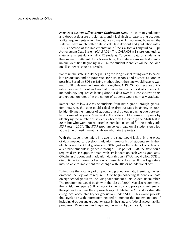*New Data System Offers Better Graduation Data. The current graduation* and dropout data are problematic, and it is difficult to base strong accountability requirements when the data are so weak. In two years, however, the state will have much better data to calculate dropout and graduation rates. This is because of the implementation of the California Longitudinal Pupil Achievement Data System (CALPADS). The CALPADS will store longitudinal state assessment data on all K-12 students. To collect data on students as they move to different districts over time, the state assigns each student a unique identifier. Beginning in 2006, the student identifier will be included on all students' state test results.

We think the state should begin using the longitudinal testing data to calculate graduation and dropout rates for high schools and districts as soon as possible. Based on SDE's existing methodology, the state would have to wait until 2010 to determine these rates using the CALPADS data. Because SDE's rates measure dropout and graduation rates for each cohort of students, its methodology requires collecting dropout data over four consecutive years and graduation rates after the cohort of students would normally graduate.

Rather than follow a class of students from ninth grade through graduation, however, the state could calculate dropout rates beginning in 2007 by identifying the number of students that drop out in each grade between two consecutive years. Specifically, the state could measure dropouts by identifying the number of students who took the ninth grade STAR test in 2006 but who were not reported as enrolled in school for the tenth grade STAR test in 2007. (The STAR program collects data on all students enrolled at the time of testing—not just those who take the tests.)

With the student identifiers in place, the state would lack only one piece of data needed to develop graduation rates—a list of students (with their identifier number) that graduate in 2007. Just as the state collects data on all enrolled students in grades 2 through 11 as part of STAR, the state could request districts supply the state with similar data on each year's graduates. Obtaining dropout and graduation data through STAR would allow SDE to discontinue its current collection of these data. As a result, the Legislature may be able to implement this change with little or no additional cost.

To improve the accuracy of dropout and graduation data, therefore, we recommend the Legislature require SDE to begin collecting student-level data on high school graduates, including each student's unique identifier number. The requirement would begin with the class of 2007. We also recommend the Legislature require SDE to report to the fiscal and policy committees on the options for adding the improved dropout data to the API and for strengthening local accountability for graduation under NCLB. This would provide the Legislature with information needed to monitor the implementation of including dropout and graduation rates in the state and federal accountability programs. We recommend requiring this report by January 1, 2006.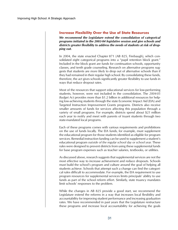#### **Increase Flexibility Over the Use of State Resources**

*We recommend the Legislature extend the consolidation of categorical programs initiated in the 2003-04 legislative session and give schools and districts greater flexibility to address the needs of students at risk of dropping out.*

In 2004, the state enacted Chapter 871 (AB 825, Firebaugh), which consolidated eight categorical programs into a "pupil retention block grant." Included in the block grant are funds for continuation schools, opportunity classes, and tenth grade counseling. Research on alternative programs suggests that students are *more likely* to drop out of alternative schools than if they had remained in their regular high school. By consolidating these funds, therefore, the act gives schools significantly greater flexibility to use funds in ways that reduce dropout rates.

Most of the resources that support educational services for low-performing students, however, were not included in the consolidation. The *2004-05 Budget Act* provides more than \$1.2 billion in additional resources for helping low-achieving students through the state Economic Impact Aid (EIA) and Targeted Instruction Improvement Grants programs. Districts also receive smaller amounts of funds for services affecting this population through a variety of small programs. For example, districts spend about \$21 million each year to notify and meet with parents of truant students through two state-mandated local programs.

Each of these programs comes with various requirements and prohibitions on the use of funds locally. The EIA funds, for example, must supplement the educational program for those students identified as eligible for program services. Remedial instruction funding can be used to supplement a student's educational program *outside of the regular school day or school year.* These rules were designed to prevent districts from using these supplemental funds for base program expenses such as teacher salaries, textbooks, or utilities.

As discussed above, research suggests that supplemental services are not the most effective way to increase achievement and reduce dropouts. Schools must build the school's program and culture around the goal of helping all students achieve. Schools that attempt such a change can find the categorical rules difficult to accommodate. For example, the EIA requirement to use program resources for supplemental services limits principals' ability to use funds as part of the school reform effort. Similarly, state truancy mandates limit schools' responses to the problem.

While the changes in AB 825 provide a good start, we recommend the Legislature extend the reforms in a way that increases local flexibility and accountability for improving student performance and increasing graduation rates. We have recommended in past years that the Legislature restructure these programs and increase local accountability for achieving the goals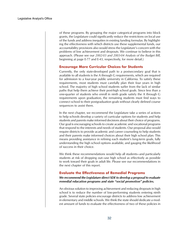of these programs. By grouping the major categorical programs into block grants, the Legislature could significantly reduce the restrictions on local use of the funds and address inequities in existing funding formulas. By highlighting the effectiveness with which districts use these supplemental funds, our accountability provisions also would stress the Legislature's concern with the problems of low achievement and dropouts. We continue to believe in this approach. (Please see our *2002-03 and 2003-04 Analysis of the Budget Bill*, beginning at page E-77 and E-43, respectively, for more detail.)

#### **Encourage More Curricular Choices for Students**

Currently, the only state-developed path to a postsecondary goal that is available to all students is the A through G requirements, which are required for admission to a four-year public university in California. To satisfy these requirements, most students must carefully plan their four years in high school. The majority of high school students suffer from the lack of similar paths that help them achieve their post-high school goals. Since less than a one-quarter of students who enroll in ninth grade satisfy the A through G requirements upon graduation, the remaining students must find ways to connect school to their postgraduation goals without clearly defined course sequences to assist them.

In the next chapter, we recommend the Legislature take a series of actions to help schools develop a variety of curricular options for students and help students and parents make informed decisions about their choice of programs. Our goal is encouraging schools to create academic and vocational programs that respond to the interests and needs of students. Our proposal also would require districts to provide academic and career counseling to help students and their parents make informed choices about their high school plan. This means providing assistance in refining each student's long-term goals, fully understanding the high school options available, and gauging the likelihood of success in their choice.

We think these recommendations would help all students—and particularly students at risk of dropping out—use high school as effectively as possible to work toward their goals in adult life. Please see our recommendations in the next chapter of this report.

#### **Evaluate the Effectiveness of Remedial Programs**

#### *We recommend the Legislature direct SDE to develop a proposal to evaluate remedial education programs and state "social promotion" policies.*

An obvious solution to improving achievement and reducing dropouts in high school is to reduce the number of low-performing students entering ninth grade. Several state policies encourage districts to address low achievement in elementary and middle schools. We think the state should dedicate a modest amount of funds to evaluate the effectiveness of two of these policies in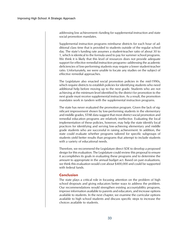addressing low achievement—funding for supplemental instruction and state social promotion mandates.

Supplemental instruction programs reimburse districts for each hour of additional class time that is provided to students outside of the regular school day. The state's funding rate assumes a student-teacher ratio of about 30 to 1, which is identical to the formula used to pay for summer school programs. We think it is likely that this level of resources does not provide adequate support for effective remedial instruction programs—addressing the academic deficiencies of low-performing students may require a lower student-teacher ratio. Unfortunately, we were unable to locate any studies on the subject of effective remedial approaches.

The Legislature also enacted social promotion policies in the mid-1990s, which require districts to establish policies for identifying students who need additional help before moving up to the next grade. Students who are not achieving at the minimum level identified by the district for promotion to the next grade must receive supplemental instruction. As a result, the promotion mandates work in tandem with the supplemental instruction programs.

The state has never evaluated the promotion program. Given the lack of significant improvement shown by low-performing students in the elementary and middle grades, STAR data suggest that most district social promotion and remedial education programs are relatively ineffective. Evaluating the local implementation of these policies, however, may help the state identify local practices for identifying and serving low-achieving elementary and middle grade students who are successful in raising achievement. In addition, the state could evaluate whether programs tailored for specific subgroups of students yield better results than programs that attempt to include students with a variety of educational needs.

Therefore, we recommend the Legislature direct SDE to develop a proposed design for this evaluation. The Legislature could review this proposal to ensure it accomplishes its goals in evaluating these programs and to determine the amount to appropriate in the annual budget act. Based on past evaluations, we think this evaluation would cost about \$400,000 and could be supported with federal funds.

#### **Conclusion**

The state plays a critical role in focusing attention on the problem of high school dropouts and giving educators better ways to address the problem. Our recommendations would strengthen existing accountability programs, improve information available to parents and educators, and increase options available to students. In the next chapter, we examine the curricular options available to high school students and discuss specific steps to increase the choices available to students.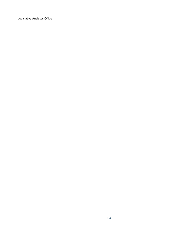Legislative Analyst's Office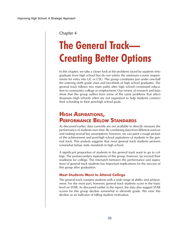#### Chapter 4

# **The General Track— Creating Better Options**

In this chapter, we take a closer look at the problems faced by students who graduate from high school but do not satisfy the minimum course requirements for entry into UC or CSU. This group constitutes just under one-half the entering ninth grade class and two-thirds of high school graduates. The general track follows two main paths after high school—continued education in community college or employment. Our review of research and data show that this group suffers from some of the same problems that affect dropouts—high schools often are not organized to help students connect their schooling to their post-high school goals.

# **HIGH ASPIRATIONS, PERFORMANCE BELOW STANDARDS**

As discussed earlier, data currently are not available to directly measure the performance of students over time. By combining data from different sources and making several key assumptions, however, we can paint a rough picture of the achievement and post-high school aspirations of students in the general track. This analysis suggests that most general track students perform somewhat below state standards in high school.

A significant proportion of students in the general track want to go to college. The postsecondary aspirations of this group, however, far exceed their readiness for college. The mismatch between the performance and aspirations of general track students has important implications for the success of this group after graduation.

#### **Most Students Want to Attend College**

The general track contains students with a wide range of ability and achievement. For the most part, however, general track students score in the basic level on STAR. As discussed earlier in the report, the data also suggest STAR scores for this group decline somewhat in eleventh grade. We view this decline as an indicator of falling student motivation.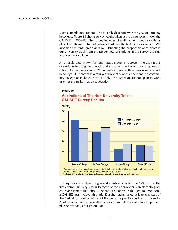Most general track students also begin high school with the goal of enrolling in college. Figure 15 shows survey results taken at the time students took the CAHSEE in 2002-03. The survey includes virtually all tenth grade students plus eleventh grade students who did not pass the test the previous year. We modified the tenth grade data by subtracting the proportion of students in our university track from the percentage of students in the survey aspiring to a four-year college.

As a result, data shown for tenth grade students represent the aspirations of students in the general track and those who will eventually drop out of school. As the figure shows, 71 percent of these tenth graders want to enroll in college—41 percent in a four-year university and 30 percent in a community college or technical school. Only 12 percent of students plan to work or enter the military upon graduation.

#### **Figure 15**



#### **Aspirations of The Non-University Tracks CAHSEE Survey Results**

<sup>a</sup>Figures have been adjusted to exclude students in the university track. As a result, tenth grade data reflect students in the two other groups–general tract and dropouts.<br><sup>b</sup>Includes only students who failed at least one part of the CAHSEE as tenth graders.

The aspirations of eleventh grade students who failed the CAHSEE on the first attempt are very similar to those of the nonuniversity track tenth graders. We estimate that about one-half of students in the general track took a CAHSEE test in eleventh grade. Despite having failed at least one part of the CAHSEE, about one-third of the group hopes to enroll in a university. Another one-third plans on attending a community college. Only 18 percent plan on working after graduation.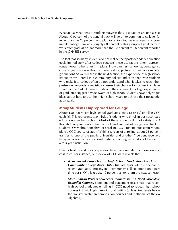What actually happens to students suggests these aspirations are unrealistic. About 40 percent of the general track will go on to community college—far fewer than the 70 percent who plan to go to a four-year university or community college. Similarly, roughly 60 percent of this group will go directly to work after graduation—far more than the 12 percent to 18 percent reported in the CAHSEE survey.

The fact that so many students do not realize their postsecondary education goals immediately after college suggests these aspirations often represent vague hopes rather than firm plans. How can high school students get so close to graduation without a more realistic picture of their options after graduation? As we will see in the next section, the experience of high school graduates who enroll in a community college indicates that even students who make it to college often do not understand what it takes to reach their postsecondary goals or realistically assess their chances for success in college. Together, the CAHSEE survey data and the community college experiences of graduates suggest a wide swath of high school students have only vague ideas about how to use their high school years to achieve their postgraduation goals.

#### **Many Students Unprepared for College**

About 150,000 recent high school graduates (ages 18 or 19) enroll in CCC each fall. This represents two-thirds of students who enroll in postsecondary education after high school. Most of these students did not satisfy the A though G requirements in high school, and are part of our general track of students. Only about one-third of enrolling CCC students successfully complete a CCC course of study. Within six years of enrolling, about 25 percent transfer to one of the public universities and another 7 percent receive a two-year academic or vocational certificate or degree but do not transfer to a four-year institution.

Low motivation and poor preparation lie at the foundation of these low success rates. For instance, our review of CCC data reveals that:

- *A Significant Proportion of High School Graduates Drop Out of Community College After Only One Semester.* Almost one-half of recent graduates enrolling in a community college attend on a parttime basis. Of this group, 40 percent fail to return the next semester.
- *More Than 40 Percent of Recent Graduates in CCC Need Basic Skills Remedial Courses.* State-required placement tests show that recent high school graduates enrolling in CCC need to repeat high school courses in basic English reading and writing (at least two levels below the transfer freshman composition course) and mathematics (below Algebra I).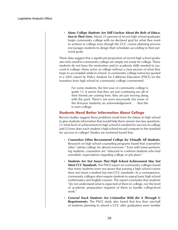*• Many College Students Are Still Unclear About the Role of Education in Their Lives.* About 25 percent of recent high school graduates begin community college with no declared goal for what they want to achieve in college even though the CCC course planning process encourages students to design their schedules according to their personal goals.

These data suggest that a significant proportion of recent high school graduates who enroll in community college are simply not ready for college. These students do not have the motivation and/or academic skills needed to succeed in college. Many arrive at college without a clear picture of what they hope to accomplish while in school. A community college instructor quoted in a 2003 report by Policy Analysis for California Education (PACE) on the transition from high school to community college commented:

> For some students, the first year of community college is grade 13. It seems that they are just continuing on—all of their friends are coming here, they are just moving along with the pack. There's not even necessarily (for some of the first-year students) an acknowledgement . . . that this is even college.

#### **Students Need Better Information About College**

Recent studies suggest these problems result from the failure in high school to give students information that would help them answer two key questions: (1) what level of achievement in high school is needed for success in college and (2) how does each student's high school record compare to the standard for success in college? Studies we reviewed found that:

- *Counselors Often Recommend College for Virtually All Students.* Research on high school counseling programs found that counselors often "advise college for almost everyone." Even with lower-performing students, counselors are "reluctant to confront students who had unrealistic expectations regarding college or job plans."
- *Students Are Not Aware That High School Achievement May Not Meet CCC Standards.* The PACE report on community colleges found that many students were not aware that passing a high school course does not mean a student has met CCC standards. As a consequence, community colleges often require students to repeat basic high school mathematics and English courses. The report concludes that students "do not understand what is expected of them in college, nor the level of academic preparation required of them to handle college-level work."
- *General Track Students Are Unfamiliar With the A Through G Requirements.* The PACE study also found that less than one-half of students planning to attend a CCC after graduation were familiar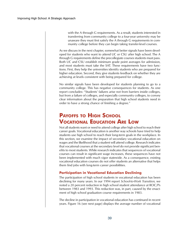with the A through G requirements. As a result, students interested in transferring from community college to a four-year university may be unaware they must first satisfy the A through G requirements in community college before they can begin taking transfer-level courses.

As we discuss in the next chapter, somewhat better signals have been developed for students who want to attend UC or CSU after high school. The A through G requirements define the precollegiate courses students must pass. Both UC and CSU establish minimum grade point averages for admission, and most students must take the SAT. These requirements have two functions. First, they help the universities identify students who are prepared for higher education. Second, they give students feedback on whether they are achieving at levels consistent with being prepared for college.

No similar signals have been developed for students planning to go to a community college. This has negative consequences for students. As one report concludes: "Students' failures arise not from barriers inside colleges, but from a failure of colleges, and especially community colleges, to convey clear information about the preparation that high school students need in order to have a strong chance of finishing a degree."

# **PAYOFFS TO HIGH SCHOOL VOCATIONAL EDUCATION ARE LOW**

Not all students want or need to attend college after high school to reach their career goals. Vocational education is another way schools have tried to help students use high school to reach their long-term goals in the workplace. In this section, we examine the impact of secondary vocational education on wages and the likelihood that a student will attend college. Research indicates that vocational courses at the secondary level do not provide significant benefits to most students. While research indicates that sequences of vocational courses can result in significant wage increases, these sequences have not been implemented with much vigor statewide. As a consequence, existing vocational education courses do not offer students an alternative that helps them find jobs with long-term career possibilities.

#### **Participation in Vocational Education Declining**

The participation of high school students in vocational education has been declining for many years. In our 1994 report *School-to-Work Transition,* we noted a 20 percent reduction in high school student attendance at ROC/Ps between 1983 and 1993. This reduction was, in part, caused by the enactment of high school graduation course requirements in 1983.

The decline in participation in vocational education has continued in recent years. Figure 16 (see next page) displays the average number of vocational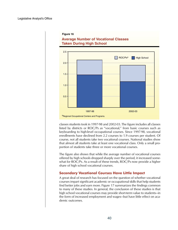

#### **Figure 16**

classes students took in 1997-98 and 2002-03. The figure includes all classes listed by districts or ROC/Ps as "vocational," from basic courses such as keyboarding to high-level occupational courses. Since 1997-98, vocational enrollments have declined from 2.2 courses to 1.9 courses per student. Of course, not all students take two vocational courses. National studies show that almost all students take at least one vocational class. Only a small proportion of students take three or more vocational courses.

The figure also shows that while the average number of vocational courses offered by high schools dropped sharply over the period, it increased somewhat for ROC/Ps. As a result of these trends, ROC/Ps now provide a higher share of high school vocational courses.

#### **Secondary Vocational Courses Have Little Impact**

A great deal of research has focused on the question of whether vocational courses impart significant academic or occupational skills that help students find better jobs and earn more. Figure 17 summarizes the findings common to many of these studies. In general, the conclusion of these studies is that high school vocational courses may provide short-term value to students—in the form of increased employment and wages—but have little effect on academic outcomes.

aRegional Occupational Centers and Programs.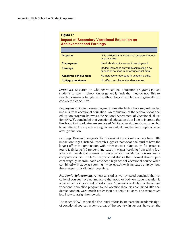| <b>Figure 17</b><br><b>Impact of Secondary Vocational Education on</b><br><b>Achievement and Earnings</b> |                                                                                           |  |  |
|-----------------------------------------------------------------------------------------------------------|-------------------------------------------------------------------------------------------|--|--|
|                                                                                                           |                                                                                           |  |  |
|                                                                                                           |                                                                                           |  |  |
| <b>Dropouts</b>                                                                                           | Little evidence that vocational programs reduce<br>dropout rates.                         |  |  |
| <b>Employment</b>                                                                                         | Small short-run increases in employment.                                                  |  |  |
| <b>Earnings</b>                                                                                           | Modest increases only from completing a se-<br>quence of courses in an occupational area. |  |  |
| <b>Academic achievement</b>                                                                               | No increase or decrease in academic skills.                                               |  |  |
| <b>College attendance</b>                                                                                 | No effect on college attendance rates.                                                    |  |  |
|                                                                                                           |                                                                                           |  |  |

*Dropouts.* Research on whether vocational education programs induce students to stay in school longer generally finds that they do not. This research, however, is fraught with methodological problems and generally not considered conclusive.

*Employment.* Findings on employment rates after high school suggest modest impacts from vocational education. An evaluation of the federal vocational education program, known as the National Assessment of Vocational Education (NAVE), concluded that vocational education does little to increase the likelihood that graduates are employed. While other studies show somewhat larger effects, the impacts are significant only during the first couple of years after graduation.

*Earnings.* Research suggests that *individual* vocational courses have little impact on wages. Instead, research suggests that vocational studies have the largest effect in combination with other courses. One study, for instance, found fairly large (10 percent) increases in wages resulting from taking four advanced vocational courses or two advanced vocational courses and a computer course. The NAVE report cited studies that showed about 5 percent wage gains from each advanced high school vocational course when combined with study at a community college. As with increased employment, these wage gains diminish over time.

*Academic Achievement.* Almost all studies we reviewed conclude that vocational courses have no impact—either good or bad—on student academic achievement as measured by test scores. A previous evaluation of the federal vocational education program found vocational courses contained little academic content, were much easier than academic courses, and were much less likely to assign homework.

The recent NAVE report did find initial efforts to increase the academic rigor of vocational courses in some areas of the country. In general, however, the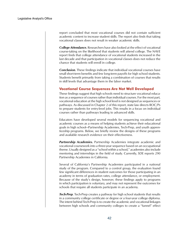report concluded that most vocational courses did not contain sufficient academic content to increase student skills. The report also finds that taking vocational classes does not result in weaker academic skills.

*College Attendance.* Researchers have also looked at the effect of vocational course-taking on the likelihood that students will attend college. The NAVE report finds that college attendance of vocational students increased in the last decade and that participation in vocational classes does not reduce the chance that students will enroll in college.

*Conclusion.* These findings indicate that individual vocational courses have small short-term benefits and few long-term payoffs for high school students. Students benefit primarily from taking a combination of courses that results in skill levels that advantage them in the labor market.

#### **Vocational Course Sequences Are Not Well Developed**

These findings suggest that high schools need to structure vocational education as a sequence of courses rather than individual courses. For the most part, vocational education at the high school level is not designed as sequences or pathways. As discussed in Chapter 2 of this report, state law directs ROC/Ps to prepare students for entry-level jobs. This results in a focus on individual courses rather than pathways leading to advanced skills.

Educators have developed several models for sequencing vocational and academic courses as a means of helping students achieve their educational goals in high school—Partnership Academies, Tech-Prep, and youth apprenticeship programs. Below, we briefly review the designs of these programs and available research evidence on their effectiveness.

*Partnership Academies.* Partnership Academies integrate academic and vocational coursework into a three-year sequence based on an occupational theme. Usually designed as a "school within a school," academies also include mentoring and internships in the field of study. Currently, SDE reports 290 Partnership Academies in California.

Several of California's Partnership Academies participated in a national study of the program. Compared to a control group, the evaluation found few significant differences in student outcomes for those participating in an academy in terms of graduation rates, college attendance, or employment. Because of the study's design, however, these findings apply to programs in which participation is voluntary, and may not represent the outcomes for schools that require all students participate in an academy.

*Tech-Prep*. Tech-Prep creates a pathway for high school students that results in a community college certificate or degree or a four-year college diploma. The intent behind Tech-Prep is to create the academic and vocational linkages between high schools and community colleges to create a "funnel" effect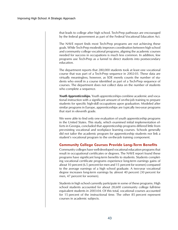that leads to college after high school. Tech-Prep pathways are encouraged by the federal government as part of the Federal Vocational Education Act.

The NAVE report finds most Tech-Prep programs are not achieving these goals. While Tech-Prep modestly improves coordination between high school and community college vocational programs, aligning the academic courses needed for success in occupations is much less common. In addition, few programs use Tech-Prep as a funnel to direct students into postsecondary education.

The department reports that 280,000 students took at least one vocational course that was part of a Tech-Prep sequence in 2002-03. These data are virtually meaningless, however, as SDE merely counts the number of students who enroll in a course identified as part of a Tech-Prep sequence of courses. The department does not collect data on the number of students who complete a sequence.

*Youth Apprenticeships.* Youth apprenticeships combine academic and vocational instruction with a significant amount of on-the-job training to prepare students for specific high-skill occupations upon graduation. Modeled after similar programs in Europe, apprenticeships are typically two-year programs that start in eleventh grade.

We were able to find only one evaluation of youth apprenticeship programs in the United States. This study, which examined initial implementation efforts in Georgia, concluded that apprenticeship programs differed little from pre-existing vocational and workplace learning courses. Schools generally did not tailor the academic program for apprenticeship students nor link a student's vocational program to the on-the-job training component.

#### **Community College Courses Provide Long-Term Benefits**

Community colleges have well-developed vocational education programs that result in occupational certificates or degrees. The NAVE report found these programs have significant long-term benefits to students. Students completing vocational certificate programs experience long-term earnings gains of about 10 percent (6.5 percent for men and 15 percent for women) compared to the average earnings of a high school graduate. A two-year vocational degree increases long-term earnings by almost 40 percent (30 percent for men, 47 percent for women).

Students in high school currently participate in some of these programs. High school students accounted for about 28,600 community college full-time equivalent students in 2003-04. Of this total, vocational courses accounted for 15 percent of the instructional time. The other 85 percent represent courses in academic subjects.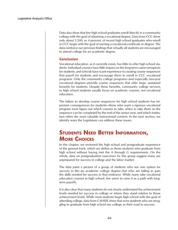Data also show that few high school graduates enroll directly in a community college with the goal of obtaining a vocational degree. Data from CCC show only about 5,500, or 4 percent, of recent high school graduates who enroll in CCC begin with the goal of earning a vocational certificate or degree. The data reinforce our previous findings that virtually all students are encouraged to attend college for an academic degree.

#### **Conclusion**

Vocational education, as it currently exists, has little to offer high school students. Individual courses have little impact on the long-term career prospects for students, and schools have scant experience in creating course sequences that payoff for students and encourage them to enroll in CCC vocational programs. Only the community college programs—and especially two-year vocational degrees—provide course sequences that offer large, sustained benefits for students. Despite these benefits, community college services to high school students usually focus on academic courses, not vocational education.

The failure to develop course sequences for high school students has important consequences for students—those who want a rigorous vocational program must figure out which courses to take, when to take them so the sequence can be completed by the end of the senior year, and which institution offers the most valuable instructional content. In the next section, we identify ways the Legislature can address these issues.

# **STUDENTS NEED BETTER INFORMATION, MORE CHOICES**

In this chapter, we reviewed the high school and postgraduate experience of the general track, which we define as those students who graduate from high school without having met the A through G requirements. On the whole, data on postgraduation outcomes for this group suggest many are unprepared for success in college and the labor market.

The data paint a picture of a group of students who see one option for success in life—an academic college degree—but who are failing to gain the skills needed for success in that endeavor. While many take vocational education courses in high school, few seem to view it as a path with longterm payoffs.

It is also clear that many students do not clearly understand the achievement levels needed for success in college or where they stand relative to those achievement levels. While most students begin high school with the goal of attending college, data from CAHSEE show that even students who are struggling to graduate from high school see college as their road to success.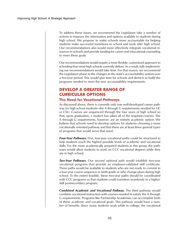To address these issues, we recommend the Legislature take a number of actions to improve the information and options available to students during high school. We propose to make schools more accountable for helping students make successful transitions to school and work after high school. Our recommendations also would more effectively integrate vocational resources in schools and provide funding for career and educational counseling to meet these goals.

Our recommendations would require a more flexible, customized approach to schooling than most high schools currently deliver. As a result, fully implementing our recommendations would take time. For that reason, we recommend the Legislature phase in the changes to the state's accountability system over a five-year period. This would give time for schools and districts to build the programs needed to meet the new accountability requirements.

# **DEVELOP A GREATER RANGE OF CURRICULAR OPTIONS**

#### **The Need for Vocational Pathways**

As discussed above, there is currently only one well-developed career pathway for high school students—the A through G requirements needed for UC or CSU. Courses are sequenced through the four years of high school so that, upon graduation, a student has taken all of the required courses. The A through G requirements, however, are an entirely academic option. We believe that schools need to develop options for students choosing a more vocationally oriented pathway and that there are at least three general types of programs that would serve that need.

*Four-Year Pathways.* First, four-year vocational paths could be structured to help students reach the highest possible levels of academic and vocational skills. For the more academically prepared students in this group, the pathways would allow students to work on CCC vocational degrees while they are in high school.

*Two-Year Pathways.* Our second optional path would establish two-year vocational programs that provide an employer-validated skill certificate. These paths would be available to students who are not ready to commit to a four-year course sequence in ninth grade or who change plans during high school. To the extent feasible, these two-year paths should be coordinated with CCC programs so that students could transition seamlessly to a higherskill postsecondary program.

*Combined Academic and Vocational Pathway.* The third pathway would combine vocational instruction with courses needed to satisfy the A through G requirements. Programs like Partnership Academies can accomplish both of these academic and vocational goals. This pathway would have a number of benefits. Since many students work while in college, the vocational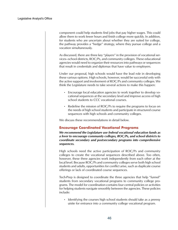component could help students find jobs that pay higher wages. This could allow them to work fewer hours and finish college more quickly. In addition, for students who are uncertain about whether they are suited for college, the pathway provides a "hedge" strategy, where they pursue college and a vocation simultaneously.

As discussed, there are three key "players" in the provision of vocational services—school districts, ROC/Ps, and community colleges. These educational agencies would need to organize their resources into pathways or sequences that result in credentials and diplomas that have value to employers.

Under our proposal, high schools would have the lead role in developing these various options. High schools, however, would be successful only with the active support and involvement of ROC/Ps and community colleges. We think the Legislature needs to take several actions to make this happen:

- Encourage local education agencies to work together to develop vocational sequences at the secondary level and improve access of high school students to CCC vocational courses.
- Redefine the mission of ROC/Ps to require the programs to focus on the needs of high school students and participate in structured course sequences with high schools and community colleges.

We discuss these recommendations in detail below.

#### **Encourage Coordinated Vocational Programs**

*We recommend the Legislature use federal vocational education funds as a lever to encourage community colleges, ROC/Ps, and school districts to coordinate secondary and postsecondary programs into comprehensive sequences.*

High schools need the active participation of ROC/Ps and community colleges to create the vocational sequences described above. Too often, however, these three agencies work independently from each other at the local level. Because ROC/Ps and community colleges serve both high school students and adults, opportunities for conflict arise, such as duplicate course offerings or lack of coordinated course sequences.

Tech-Prep is designed to coordinate the three agencies that help "funnel" students from secondary vocational programs to community college programs. The model for coordination contains four central policies or activities for helping students navigate smoothly between the agencies. These policies include:

• Identifying the courses high school students should take as a prerequisite for entrance into a community college vocational program.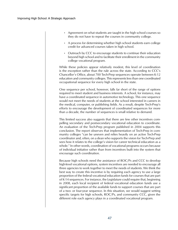- Agreement on what students are taught in the high school courses so they do not have to repeat the courses in community college.
- A process for determining whether high school students earn college credit for advanced courses taken in high school.
- Outreach by CCC to encourage students to continue their education beyond high school and to facilitate their enrollment in the community college vocational program.

While these policies appear relatively modest, this level of coordination is the exception rather than the rule across the state. According to CCC's Chancellor's Office, about 700 Tech-Prep sequences operate between K-12 education and community colleges. This represents less than one coordinated occupational sequence for every high school in the state.

One sequence per school, however, falls far short of the range of options required to meet student and business interests. A school, for instance, may have a coordinated sequence in automotive technology. This one sequence would not meet the needs of students at the school interested in careers in the medical, computer, or publishing fields. As a result, despite Tech-Prep's efforts to encourage the development of coordinated sequences for more than a decade, the number of sequences is small relative to demand.

This limited success also suggests that there are few other incentives compelling secondary and postsecondary vocational education to coordinate. An evaluation of the Tech-Prep program published in 2004 supports this conclusion. The report observes that implementation of Tech-Prep in community colleges "can be uneven and relies heavily on an active Tech-Prep coordinator and, often, on a dean who supports the vision for Tech-Prep and sees how it relates to the college's vision for career technical education as a whole." In other words, coordination of vocational programs occurs because of individual initiative rather than from incentives built into the system that encourage such coordination.

Because high schools need the assistance of ROC/Ps and CCC to develop high-level vocational options, system incentives are needed to encourage all three agencies to work together to meet the needs of students. We think the best way to create this incentive is by requiring each agency to use a large proportion of the federal vocational education funds for courses that are part of K-14 sequences. For instance, the Legislature could require that, beginning in 2008, each local recipient of federal vocational education funds use a significant proportion of the available funds to support courses that are part of a two- or four-year sequence. In this situation, we would suggest setting specific targets for high schools, ROC/Ps, and community CCC, given the different role each agency plays in a coordinated vocational program.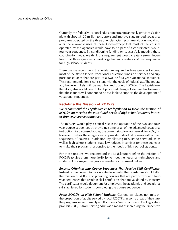Currently, the federal vocational education program annually provides California with about \$120 million to support and improve state-funded vocational programs operated by the three agencies. Our recommendation would not alter the allowable uses of these funds—except that most of the courses operated by the agencies would have to be part of a coordinated two- or four-year sequence. By conditioning funding on successfully meeting these coordination goals, we think this requirement would create a strong incentive for all three agencies to work together and create vocational sequences for high school students.

Therefore, we recommend the Legislature require the three agencies to spend most of the state's federal vocational education funds on services and supports for courses that are part of a two- or four-year vocational sequence. This recommendation is consistent with the goals of federal law. The federal act, however, likely will be reauthorized during 2005-06. The Legislature, therefore, also would need to track proposed changes to federal law to ensure that these funds will continue to be available to support the development of vocational sequences.

#### **Redefine the Mission of ROC/Ps**

*We recommend the Legislature enact legislation to focus the mission of ROC/Ps on meeting the vocational needs of high school students in twoor four-year course sequences.* 

The ROC/Ps would play a critical role in the operation of the two- and fouryear course sequences by providing some or all of the advanced vocational instruction. As discussed above, the current statutory framework for ROC/Ps, however, pushes these agencies to provide individual courses rather than sequences of courses. In addition, by allowing ROC/Ps to serve adults as well as high school students, state law reduces incentives for these agencies to make their programs responsive to the needs of high school students.

For these reasons, we recommend the Legislature redefine the mission of ROC/Ps to give them more flexibility to meet the needs of high schools and students. Four major changes are needed as discussed below.

*Revamp Offerings Into Course Sequences That Provide Skill Certificates.* Instead of the current focus on entry-level skills, the Legislature should alter the mission of ROC/Ps to providing courses that are part of two- and fouryear sequences that result in skill certificates that are validated by industry. The certificates would document for employers the academic and vocational skills achieved by students completing the course sequence.

*Focus ROC/Ps on High School Students.* Current law places no limits on the proportion of adults served by local ROC/Ps. In some areas of the state, the programs serve primarily adult students. We recommend the Legislature prohibit ROC/Ps from serving adults as a means of increasing their incentive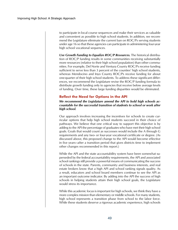to participate in local course sequences and make their services as valuable and convenient as possible to high school students. In addition, we recommend the Legislature eliminate the current ban on ROC/Ps serving students under age 16 so that these agencies can participate in administering four-year high school vocational sequences.

*Use Growth Funding to Equalize ROC/P Resources.* The historical distribution of ROC/P funding results in some communities receiving substantially more resources (relative to their high school population) than other communities. For example, Del Norte and Ventura County ROC/Ps receive funding sufficient to serve less than 3 percent of the counties' high school students, whereas Mendocino and Inyo County ROC/Ps receive funding for about one-quarter of their high school students. To address these significant differences, we recommend the Legislature revise the ROC/P funding formula to distribute growth funding only to agencies that receive below average levels of funding. Over time, these large funding disparities would be eliminated.

#### **Reflect the Need for Options in the API**

*We recommend the Legislature amend the API to hold high schools accountable for the successful transition of students to school or work after high school.* 

Our approach involves increasing the incentives for schools to create curricular options that help high school students succeed in their choice of pathways. We believe that one critical way to support this objective is by adding to the API the percentage of graduates who have met their high school goals. Goals that would count as successes would include the A through G requirements and any two- or four-year vocational certificate or degree. (As discussed above, this proposed change to the API would become effective in five years—after a transition period that gives districts time to implement other changes recommended in this report.)

While the API and the state accountability system have been somewhat superseded by the federal accountability requirements, the API and associated school rankings still provide a powerful means of communicating the success of schools in the state. Parents, community and business interests, and real estate brokers know that a high API and school ranking signals quality. As a result, educators and school board members continue to see the API as an important outcome indicator. By adding into the API the success of high schools in helping students attain their high school goals, the Legislature would stress its importance.

While this academic focus is important for high schools, we think they have a more complex mission than elementary or middle schools. For many students, high school represents a transition phase from school to the labor force. While these students deserve a rigorous academic experience, high schools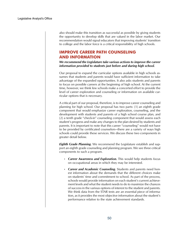also should make this transition as successful as possible by giving students the opportunity to develop skills that are valued in the labor market. Our recommendation would signal educators that improving students' transition to college and the labor force is a critical responsibility of high schools.

### **IMPROVE CAREER PATH COUNSELING AND INFORMATION**

*We recommend the Legislature take various actions to improve the career information provided to students just before and during high school.* 

Our proposal to expand the curricular options available in high schools assumes that students and parents would have sufficient information to take advantage of the expanded opportunities. It also asks students and parents to focus on possible careers at the beginning of high school. At the current time, however, we think few schools make a concerted effort to provide the level of career exploration and counseling or information on available curricular options that is necessary.

A critical part of our proposal, therefore, is to improve career counseling and planning for high school. Our proposal has two parts: (1) an eighth grade component that would emphasize career exploration, counseling, and the development with students and parents of a high school course plan, and (2) a tenth grade "check-in" counseling component that would assess each student's progress and make any changes to the plan desired by students and parents. It is important to note that this career "counseling" would not have to be provided by certificated counselors—there are a variety of ways high schools could provide these services. We discuss these two components in greater detail below.

*Eighth Grade Planning.* We recommend the Legislature establish and support an eighth grade counseling and planning program. We see three critical components to such a program.

- *Career Awareness and Exploration.* This would help students focus on occupational areas in which they may be interested.
- *Career and Academic Counseling.* Students and parents need honest information about the demands that the different choices make on students' time and commitment to school. As part of the process, schools would provide information on each student's current achievement levels and what the student needs to do to maximize the chances of success in the various options of interest to the student and parents. We think data from the STAR tests are an essential piece of information, as it provides the most objective information about the student's performance relative to the state achievement standards.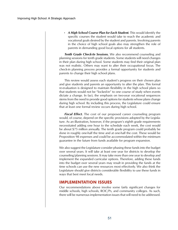• *A High School Course Plan for Each Student.* This would identify the specific courses the student would take to reach the academic and vocational goals desired by the student and parents. Involving parents in the choice of high school goals also may strengthen the role of parents in demanding good local options for all students.

*Tenth Grade Check-In Sessions.* We also recommend counseling and planning sessions for tenth grade students. Some students will need changes in their plan during high school. Some students may find their original plan was not realistic. Others may want to alter their occupational focus. The check-in planning process provides a formal opportunity for students and parents to change their high school plans.

This review would assess each student's progress on their chosen plan and give students and parents an opportunity to alter the plan. This formal re-evaluation is designed to maintain flexibility in the high school plans so that students would not be "locked-in" to one course of study when events dictate a change. In fact, the emphasis on two-year vocational sequences stems from the need to provide good options for students whose plans change during high school. By including this process, the Legislature could ensure that at least one formal review occurs during high school.

*Fiscal Effect.* The cost of our proposed career counseling program would, of course, depend on the specific provisions adopted by the Legislature. As an illustration, however, if the program's eighth grade requirements necessitated adding one hour to the schedule each week, the cost would be about \$75 million annually. The tenth grade program could probably be done in roughly one-half the time and at one-half the cost. These would be Proposition 98 expenses and could be accommodated within the minimum guarantee in the future from funds available for program expansion.

We also suggest the Legislature consider phasing these funds into the budget over several years. It will take at least one year for districts to develop the counseling/planning sessions. It may take more than one year to develop and implement the expanded curricular options. Therefore, adding these funds into the budget over several years may result in providing the funds at the time schools can use the new resources most effectively. We also think the Legislature should give districts considerable flexibility to use these funds in ways that best meet local needs.

#### **IMPLEMENTATION ISSUES**

Our recommendations above involve some fairly significant changes for middle schools, high schools, ROC/Ps, and community colleges. As such, there will be numerous implementation issues that will need to be addressed.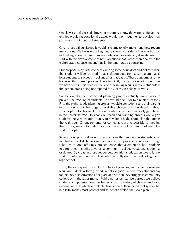One key issue discussed above, for instance, is how the various educational entities providing vocational classes would work together to develop new pathways for high school students.

Given these difficult issues, it would take time to fully implement these recommendations. We believe the Legislature should consider a five-year horizon in thinking about program implementation. For instance, it might want to start with the development of new vocational pathways, then deal with the eighth grade counseling and finally the tenth grade counseling.

Our proposal may raise concerns among some educators and policymakers that students will be "tracked," that is, discouraged from a curriculum that allows students to succeed in college after graduation. These concerns assume, however, that current policies do not implicitly create tracking of students. As we have seen in this chapter, the *lack of planning* results in many students in the general track being unprepared for success in college or work.

We believe that our proposed planning process actually would work to prevent the tracking of students. This would occur for two related reasons. First, the eighth grade planning process would give students and their parents information about the range of available choices and the decision about which option to choose. For students who do not automatically get placed in the university track, this early outreach and planning process would give students the greatest opportunity to develop a high school plan that meets the A through G requirements—or comes as close as possible to meeting them. Thus, early information about choices should expand, not restrict, a student's option.

Second, our proposal would stress options that encourage students to attain higher level skills. As discussed above, we propose to reorganize high school vocational offerings into sequences that allow high school students to earn (or earn credits towards) a community college vocational credential or degree. By creating these sequences, vocational education would funnel students into community college who currently do not attend college after high school.

To us, the data speak forcefully: the lack of planning and career counseling results in students with vague and unrealistic goals. General track students pay for this lack of information after graduation, when they struggle in community college or in the labor market. While no system can be perfect, we believe students and parents would be better off with a variety of choices and good information with which to evaluate those choices than the current system that implicitly makes most parents and students develop their own plan.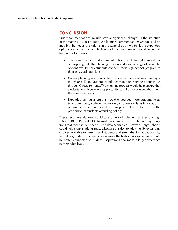## **CONCLUSION**

Our recommendations include several significant changes in the structure of the state's K-12 institutions. While our recommendations are focused on meeting the needs of students in the general track, we think the expanded options and accompanying high school planning process would benefit all high school students.

- The career planning and expanded options would help students at risk of dropping out. The planning process and greater range of curricular options would help students connect their high school program to their postgraduate plans.
- Career planning also would help students interested in attending a four-year college. Students would learn in eighth grade about the A through G requirements. The planning process would help ensure that students are given every opportunity to take the courses that meet these requirements.
- Expanded curricular options would encourage more students to attend community college. By working to funnel students in vocational programs to community college, our proposal seeks to increase the proportion of students attending college.

These recommendations would take time to implement as they ask high schools, ROC/Ps, and CCC to work cooperatively to create an array of options that meet student needs. The data seem clear, however—high schools could help many students make a better transition to adult life. By expanding choices available to parents and students and strengthening accountability for helping students succeed in new areas, the high school experience could be better connected to students' aspirations and make a larger difference in their adult lives.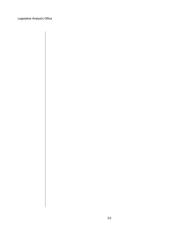Legislative Analyst's Office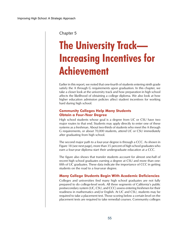Chapter 5

# **The University Track— Increasing Incentives for Achievement**

Earlier in this report, we noted that one-fourth of students entering ninth grade satisfy the A through G requirements upon graduation. In this chapter, we take a closer look at the university track and how preparation in high school affects the likelihood of obtaining a college diploma. We also look at how higher education admission policies affect student incentives for working hard during high school.

#### **Community Colleges Help Many Students Obtain a Four-Year Degree**

High school students whose goal is a degree from UC or CSU have two major routes to that end. Students may apply directly to enter one of these systems as a freshman. About two-thirds of students who meet the A through G requirements, or about 70,000 students, attend UC or CSU immediately after graduating from high school.

The second major path to a four-year degree is through a CCC. As shown in Figure 18 (see next page), more than 35 percent of high school graduates who earn a four-year diploma start their undergraduate education at a CCC.

The figure also shows that transfer students account for almost one-half of recent high school graduates earning a degree at CSU and more than onefifth of UC graduates. These data indicate the importance of CCC in getting students on the road to a four-year degree.

#### **Many College Students Begin With Academic Deficiencies**

Colleges and universities find many high school graduates are not fully prepared to do college-level work. All three segments of California's public postsecondary system (UC, CSU, and CCC) assess entering freshmen for their readiness in mathematics and/or English. At UC and CSU, students may be required to take a placement test. Those scoring below a certain level on the placement tests are required to take remedial courses. Community colleges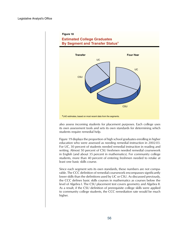

also assess incoming students for placement purposes. Each college uses its own assessment tools and sets its own standards for determining which students require remedial help.

Figure 19 displays the proportion of high school graduates enrolling in higher education who were assessed as needing remedial instruction in 2002-03. For UC, 30 percent of students needed remedial instruction in reading and writing. Almost 50 percent of CSU freshmen needed remedial coursework in English (and about 35 percent in mathematics). For community college students, more than 40 percent of entering freshmen needed to retake at least one basic skills course.

Since each segment sets its own standards, these numbers are not comparable. The CCC definition of remedial coursework encompasses significantly lower skills than the definitions used by UC or CSU. As discussed previously, the CCC defines basic skills courses in mathematics as courses below the level of Algebra I. The CSU placement test covers geometry and Algebra II. As a result, if the CSU definition of prerequisite college skills were applied to community college students, the CCC remediation rate would be much higher.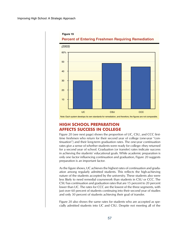

Note: Each system develops its own standards for remediation, and therefore, the figures are not comparable.

## **HIGH SCHOOL PREPARATION AFFECTS SUCCESS IN COLLEGE**

Figure 20 (see next page) shows the proportion of UC, CSU, and CCC firsttime freshmen who return for their second year of college (one-year "continuation") and their long-term graduation rates. The one-year continuation rates give a sense of whether students were ready for college—they returned for a second year of school. Graduation (or transfer) rates indicate success in achieving the students' educational goals. While academic preparation is only one factor influencing continuation and graduation, Figure 20 suggests preparation is an important factor.

As the figure shows, UC achieves the highest rates of continuation and graduation among regularly admitted students. This reflects the high-achieving nature of the students accepted by the university. These students also were less likely to need remedial coursework than students in CSU or CCC. The CSU has continuation and graduation rates that are 15 percent to 20 percent lower than UC. The rates for CCC are the lowest of the three segments, with just over 60 percent of students continuing into their second year of studies and only 30 percent of students achieving their goal of transfer.

Figure 20 also shows the same rates for students who are accepted as specially admitted students into UC and CSU. Despite not meeting all of the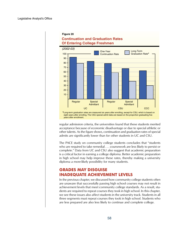

 eight years after enrolling. The CSU special admit data are based on the proportion graduating five years after enrollment.

regular admission criteria, the universities found that these students merited acceptance because of economic disadvantage or due to special athletic or other talents. As the figure shows, continuation and graduation rates of special admits are significantly lower than for other students in UC and CSU.

The PACE study on community college students concludes that "students who are required to take remedial . . . coursework are less likely to persist or complete." Data from UC and CSU also suggest that academic preparation is a critical factor in earning a college diploma. Better academic preparation in high school may help improve these rates, thereby making a university diploma a more-likely possibility for many students.

## **GRADES MAY DISGUISE INADEQUATE ACHIEVEMENT LEVELS**

In the previous chapter, we discussed how community college students often are unaware that successfully passing high school courses may not result in achievement levels that meet community college standards. As a result, students are required to repeat courses they took in high school. In this chapter, we see these issues also affect students in the university track. Students in all three segments must repeat courses they took in high school. Students who are less prepared are also less likely to continue and complete college.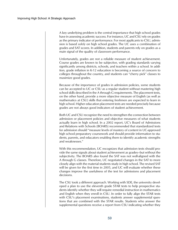A key underlying problem is the central importance that high school grades have in assessing academic success. For instance, UC and CSU rely on grades as the primary indicator of performance. For most applicants to CSU, admission is based *solely* on high school grades. The UC uses a combination of grades and SAT scores. In addition, students and parents rely on grades as a main signal of the quality of classroom performance.

Unfortunately, grades are not a reliable measure of student achievement. Course grades are known to be subjective, with grading standards varying significantly among districts, schools, and teachers within a school. In addition, grade inflation in K-12 education is becoming a source of concern to colleges throughout the country, and students can "cherry pick" classes to maximize good grades.

Because of the importance of grades in admission policies, some students can be accepted to UC or CSU as a regular student without mastering high school skills described in the A through G requirements. The placement tests, on the other hand, provide a more objective measure of English (as well as mathematics at CSU) skills that entering freshmen are expected to learn in high school. Higher education placement tests are needed precisely because grades are not always good indicators of student achievement.

Both UC and CSU recognize the need to strengthen the connection between admission or placement policies and objective measures of what students actually learn in high school. In a 2002 report, UC's Board of Admissions and Relations with Schools (BOARS) recommended that standardized tests for admission should "measure levels of mastery of content in UC-approved high school preparatory coursework and should provide information to students, parents, and educators enabling them to identify academic strengths and weaknesses."

With this recommendation, UC recognizes that admission tests should provide the same signals about student achievement as grades—but without the subjectivity. The BOARS also found the SAT was not well-aligned with the A through G classes. Therefore, UC negotiated changes in the SAT to more closely align with the material students study in high school. The revised SAT will be given for the first time in 2005, and UC will evaluate whether these changes improve the usefulness of the test for admissions and placement decisions.

The CSU took a different approach. Working with SDE, the university developed a plan to use the eleventh grade STAR tests to help prospective students identify whether they will require remedial instruction in mathematics and English when they enroll in CSU. In order to fully align the STAR tests with CSU's placement examinations, students answer supplemental questions that are combined with the STAR results. Students who answer the supplemental questions receive a report from CSU indicating whether they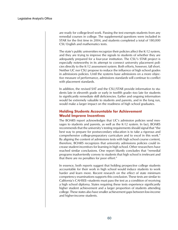are ready for college-level work. Passing the test exempts students from any remedial courses in college. The supplemental questions were included in STAR for the first time in 2004, and students completed a total of 180,000 CSU English and mathematics tests.

The state's public universities recognize their policies affect the K-12 system, and they are trying to improve the signals to students of whether they are adequately prepared for a four-year institution. The CSU's STAR project is especially noteworthy in its attempt to connect university placement policies directly to the K-12 assessment system. Both efforts, however, fall short. Neither UC nor CSU propose to reduce the influence of high school grades in admissions policies. Until the systems base admissions on a more objective measure of performance, admissions standards will continue to conflict with placement standards.

In addition, the revised SAT and the CSU/STAR provide information to students late in eleventh grade or early in twelfth grade—too late for students to significantly remediate skill deficiencies. Earlier and ongoing information would be extremely valuable to students and parents, and in the long run, would make a larger impact on the readiness of high school graduates.

#### **Holding Students Accountable for Achievement Would Improve Incentives**

The BOARS report acknowledges that UC's admission policies send messages to students and parents, as well as the K-12 system. In fact, BOARS recommends that the university's testing requirements should signal that "the best way to prepare for postsecondary education is to take a rigorous and comprehensive college-preparatory curriculum and to excel in this work." By aligning the content of admissions tests with high school course content, therefore, BOARS recognizes that university admissions policies could increase student incentives for learning in high school. Other researchers have reached similar conclusions. One report bluntly concludes that "remedial programs inadvertently convey to students that high school is irrelevant and that there are no penalties for poor effort."

In essence, both reports suggest that holding prospective college students accountable for their work in high school would induce students to work harder and learn more. Recent research on the effect of state minimum competency examinations supports this conclusion. These tests are similar to California's CAHSEE—students must pass the test as a condition of receiving a high school diploma. States requiring these tests experience significantly higher student achievement and a larger proportion of students attending college. These states also have smaller achievement gaps between low-income and higher-income students.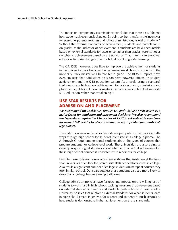The report on competency examinations concludes that these tests "change how student achievement is signaled. By doing so they transform the incentives for everyone: parents, teachers and school administrators, as well as students." Without the external standards of achievement, students and parents focus on grades as the indicator of achievement. If students are held accountable based on external standards for excellence rather than grades, parents' focus switches to achievement based on the standards. This, in turn, can empower educators to make changes to schools that result in greater learning.

The CAHSEE, however, does little to improve the achievement of students in the university track because the test measures skills most students in the university track master well before tenth grade. The BOARS report, however, suggests that admissions tests can have powerful effects on student achievement and the K-12 education system. As a result, using a standardized measure of high school achievement for postsecondary admissions and placement could direct these powerful incentives in a direction that supports K-12 education rather than weakening it.

## **USE STAR RESULTS FOR ADMISSION AND PLACEMENT**

*We recommend the Legislature require UC and CSU use STAR scores as a major factor for admission and placement decisions. We also recommend the Legislature require the Chancellor of CCC to set statewide standards for using STAR results to place freshmen in appropriate community college classes.* 

The state's four-year universities have developed policies that provide pathways through high school for students interested in a college diploma. The A through G requirements signal students about the types of courses that prepare students for college-level work. The universities are also trying to develop ways to signal students about whether their actual achievement in these high school courses is consistent with readiness for college.

Despite these policies, however, evidence shows that freshmen at the fouryear universities often lack the prerequisite skills needed for success in college. As a result, a significant number of college students must repeat courses they took in high school. Data also suggest these students also are more likely to drop out of college before earning a diploma.

College admission policies have far-reaching impacts on the willingness of students to work hard in high school. Lacking measures of achievement based on external standards, parents and students push schools to raise grades. University policies that reinforce external standards for what students learn in high school create incentives for parents and students to push schools to help students demonstrate higher achievement on those standards.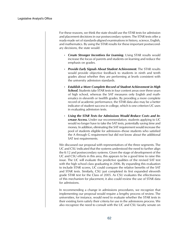For these reasons, we think the state should use the STAR tests for admission and placement decisions in our postsecondary system. The STAR tests offer a ready-made set of standards-aligned examinations in history, science, English, and mathematics. By using the STAR results for these important postsecondary decisions, the state would:

- *Create Stronger Incentives for Learning.* Using STAR results would increase the focus of parents and students on learning and reduce the emphasis on grades.
- *Provide Early Signals About Student Achievement.* The STAR results would provide objective feedback to students in ninth and tenth grades about whether they are performing at levels consistent with the university admission standards.
- *Establish a More Complete Record of Student Achievement in High*  **School.** Students take STAR tests in four content areas over three years of high school, whereas the SAT measures only English and mathematics in eleventh or twelfth grades. By providing a more complete record of academic performance, the STAR data also may be a better indicator of student success in college, which is one criterion UC uses in evaluating admission tests.
- *Using the STAR Tests for Admissions Would Reduce Costs and Increase Access.* Under our recommendation, students applying to UC would no longer have to take the SAT tests, potentially saving time and money. In addition, eliminating the SAT requirement would increase the pool of students eligible for admission—those students who satisfied the A through G requirement but did not know about the additional SAT test requirements.

We discussed our proposal with representatives of the three segments. The UC and CSU indicated that the systems understood the need to further align the K-12 and postsecondary systems. Given the stage of development of the UC and CSU efforts in this area, this appears to be a good time to raise this issue. The UC will evaluate the predictive qualities of the revised SAT test with the high school class graduating in 2006. By expanding this evaluation to include STAR scores, UC could compare the relative benefits of the SAT and STAR tests. Similarly, CSU just completed its first expanded eleventh grade STAR test for the Class of 2005. As CSU evaluates the effectiveness of this mechanism for placement, it also could review the use of STAR data for admissions.

In recommending a change in admissions procedures, we recognize that implementing our proposal would require a lengthy process of review. The universities, for instance, would need to evaluate whether the STAR tests in their existing form satisfy their criteria for use in the admissions process. We also recognize the need to consult with the UC and CSU faculty senate on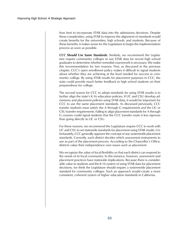how best to incorporate STAR data into the admissions decisions. Despite these complexities, using STAR to improve the alignment of standards would create benefits for the universities, high schools, and students. Because of these benefits, it makes sense for the Legislature to begin the implementation process as soon as possible.

*CCC Should Use Same Standards.* Similarly, we recommend the Legislature require community colleges to use STAR data for recent high school graduates to determine whether remedial coursework is necessary. We make this recommendation for two reasons. First, as discussed in the previous chapter, CCC's open enrollment policy makes it difficult to signal students about whether they are achieving at the level needed for success in community college. By using STAR results for placement purposes in CCC, the state could provide much better feedback to high school students on their preparedness for college.

The second reason for CCC to adopt standards for using STAR results is to further align the state's K-16 education policies. If UC and CSU develop admissions and placement policies using STAR data, it would be important for CCC to use the same placement standards. As discussed previously, CCC transfer students must satisfy the A through G requirements *and* the UC or CSU transfer requirements. Failing to align placement standards for A through G courses could signal students that the CCC transfer route is less rigorous than going directly to UC or CSU.

For these reasons, we recommend the Legislature require CCC to work with UC and CSU to set statewide standards for placement using STAR results. Unfortunately, CCC generally opposes the concept of any systemwide placement standards. Currently, each district decides which assessment instruments to use as part of the placement process. According to the Chancellor's Office, districts value their independence over issues such as placement.

We recognize the value of local flexibility so that each district can respond to the needs of its local community. In this instance, however, assessment and placement practices have statewide implications. Because there is considerable value to students and the K-16 system of using STAR data for placement decisions, we think the Legislature should require a systemwide placement standard for community colleges. Such an approach would create a more consistent, coherent system of higher education standards in California.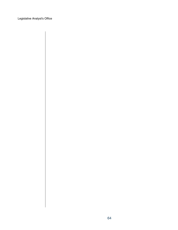Legislative Analyst's Office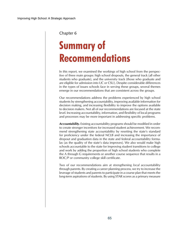## Chapter 6

## **Summary of Recommendations**

In this report, we examined the workings of high school from the perspective of three main groups: high school dropouts, the general track (all other students who graduate), and the university track (those who graduate and are eligible for admission into UC or CSU). Despite considerable differences in the types of issues schools face in serving these groups, several themes emerge in our recommendations that are consistent across the groups.

Our recommendations address the problems experienced by high school students by strengthening accountability, improving available information for decision making, and increasing flexibility to improve the options available to decision makers. Not all of our recommendations are focused at the state level. Increasing accountability, information, and flexibility of local programs and processes may be more important in addressing specific problems.

*Accountability.* Existing accountability programs should be modified in order to create stronger incentives for increased student achievement. We recommend strengthening state accountability by resetting the state's standard for proficiency under the federal NCLB and increasing the importance of dropout and graduation data in the state and federal accountability formulas (as the quality of the state's data improves). We also would make high schools accountable to the state for improving student transitions to college and work by adding the proportion of high school students who complete the A through G requirements or another course sequence that results in a ROC/P or community college skill certificate.

Two of our recommendations aim at strengthening *local* accountability through parents. By creating a career planning process, we try to increase the leverage of students and parents to participate in a course plan that meets the long-term aspirations of students. By using STAR scores as a primary measure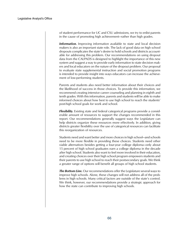of student performance for UC and CSU admissions, we try to enlist parents in the cause of promoting high achievement—rather than high grades.

**Information.** Improving information available to state and local decision makers is also an important state role. The lack of good data on high school dropouts complicates the state's desire to hold schools and districts accountable for addressing this problem. Our recommendations on using dropout data from the CALPADS is designed to highlight the importance of this new system and suggest a way to provide early information to state decision makers and local educators on the nature of the dropout problem. Our proposal to evaluate state supplemental instruction and social promotion programs is intended to provide insight into ways educators can increase the achievement of low-performing students.

Parents and students also need better information about their choices and the likelihood of success in those choices. To provide this information, we recommend creating intensive career counseling and planning in eighth and tenth grades. With this information, parents and students will be able to make informed choices about how best to use high school to reach the students' post-high school goals for work and school.

*Flexibility.* Existing state and federal categorical programs provide a considerable amount of resources to support the changes recommended in this report. Our recommendations generally suggest ways the Legislature can help districts organize these resources more effectively. In addition, giving districts greater flexibility over the use of categorical resources can facilitate this reorganization of resources.

Students need and want better and more choices in high school—and schools need to be more flexible in providing these choices. Students need other viable alternatives besides getting a four-year college diploma—only about 15 percent of high school graduates earn a college diploma in the decade after high school. Students also want to feel more involved in their education, and creating choices over their high school program empowers students and their parents to use high school to reach their postsecondary goals. We think a greater range of options will benefit all groups of high school students.

*The Bottom Line.* Our recommendations offer the Legislature several ways to improve high schools. Alone, these changes will not address all of the problems in high schools. Many critical factors are outside of the state's control. We think, however, our recommendations provide a strategic approach for how the state can contribute to improving high schools.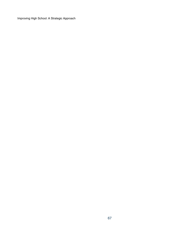Improving High School: A Strategic Approach